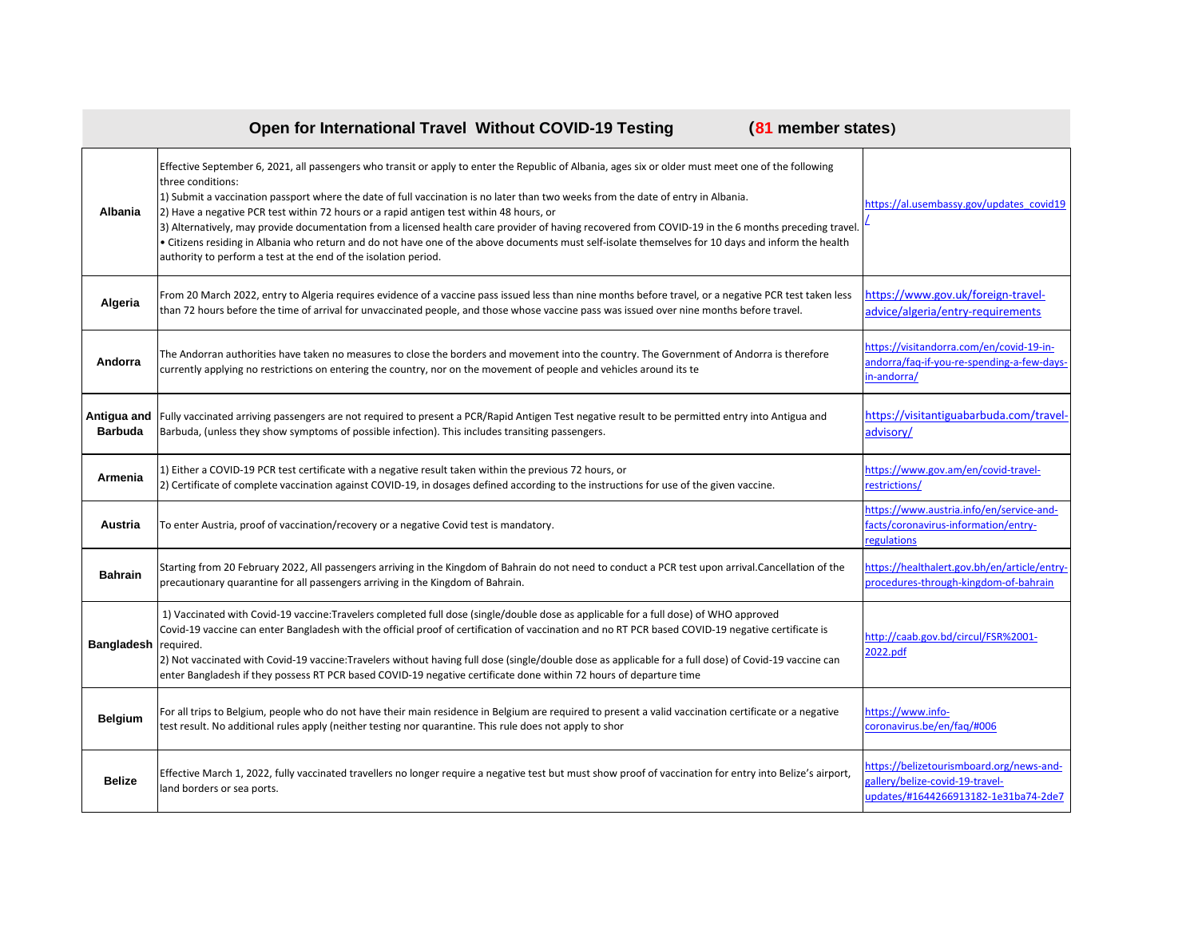|                             | Open for International Travel Without COVID-19 Testing<br>(81 member states)                                                                                                                                                                                                                                                                                                                                                                                                                                                                                                                                                                                                                                                                                                               |                                                                                                                     |
|-----------------------------|--------------------------------------------------------------------------------------------------------------------------------------------------------------------------------------------------------------------------------------------------------------------------------------------------------------------------------------------------------------------------------------------------------------------------------------------------------------------------------------------------------------------------------------------------------------------------------------------------------------------------------------------------------------------------------------------------------------------------------------------------------------------------------------------|---------------------------------------------------------------------------------------------------------------------|
| Albania                     | Effective September 6, 2021, all passengers who transit or apply to enter the Republic of Albania, ages six or older must meet one of the following<br>three conditions:<br>1) Submit a vaccination passport where the date of full vaccination is no later than two weeks from the date of entry in Albania.<br>2) Have a negative PCR test within 72 hours or a rapid antigen test within 48 hours, or<br>3) Alternatively, may provide documentation from a licensed health care provider of having recovered from COVID-19 in the 6 months preceding travel.<br>• Citizens residing in Albania who return and do not have one of the above documents must self-isolate themselves for 10 days and inform the health<br>authority to perform a test at the end of the isolation period. | https://al.usembassy.gov/updates_covid19                                                                            |
| Algeria                     | From 20 March 2022, entry to Algeria requires evidence of a vaccine pass issued less than nine months before travel, or a negative PCR test taken less<br>than 72 hours before the time of arrival for unvaccinated people, and those whose vaccine pass was issued over nine months before travel.                                                                                                                                                                                                                                                                                                                                                                                                                                                                                        | https://www.gov.uk/foreign-travel-<br>advice/algeria/entry-requirements                                             |
| Andorra                     | The Andorran authorities have taken no measures to close the borders and movement into the country. The Government of Andorra is therefore<br>currently applying no restrictions on entering the country, nor on the movement of people and vehicles around its te                                                                                                                                                                                                                                                                                                                                                                                                                                                                                                                         | https://visitandorra.com/en/covid-19-in-<br>andorra/faq-if-you-re-spending-a-few-days-<br>in-andorra/               |
| <b>Barbuda</b>              | Antigua and   Fully vaccinated arriving passengers are not required to present a PCR/Rapid Antigen Test negative result to be permitted entry into Antigua and<br>Barbuda, (unless they show symptoms of possible infection). This includes transiting passengers.                                                                                                                                                                                                                                                                                                                                                                                                                                                                                                                         | https://visitantiguabarbuda.com/travel-<br>advisory/                                                                |
| Armenia                     | 1) Either a COVID-19 PCR test certificate with a negative result taken within the previous 72 hours, or<br>2) Certificate of complete vaccination against COVID-19, in dosages defined according to the instructions for use of the given vaccine.                                                                                                                                                                                                                                                                                                                                                                                                                                                                                                                                         | https://www.gov.am/en/covid-travel-<br>restrictions/                                                                |
| <b>Austria</b>              | To enter Austria, proof of vaccination/recovery or a negative Covid test is mandatory.                                                                                                                                                                                                                                                                                                                                                                                                                                                                                                                                                                                                                                                                                                     | https://www.austria.info/en/service-and-<br>facts/coronavirus-information/entry-<br>regulations                     |
| <b>Bahrain</b>              | Starting from 20 February 2022, All passengers arriving in the Kingdom of Bahrain do not need to conduct a PCR test upon arrival.Cancellation of the<br>precautionary quarantine for all passengers arriving in the Kingdom of Bahrain.                                                                                                                                                                                                                                                                                                                                                                                                                                                                                                                                                    | https://healthalert.gov.bh/en/article/entry<br>procedures-through-kingdom-of-bahrain                                |
| <b>Bangladesh required.</b> | 1) Vaccinated with Covid-19 vaccine:Travelers completed full dose (single/double dose as applicable for a full dose) of WHO approved<br>Covid-19 vaccine can enter Bangladesh with the official proof of certification of vaccination and no RT PCR based COVID-19 negative certificate is<br>2) Not vaccinated with Covid-19 vaccine:Travelers without having full dose (single/double dose as applicable for a full dose) of Covid-19 vaccine can<br>enter Bangladesh if they possess RT PCR based COVID-19 negative certificate done within 72 hours of departure time                                                                                                                                                                                                                  | http://caab.gov.bd/circul/FSR%2001-<br>2022.pdf                                                                     |
| <b>Belgium</b>              | For all trips to Belgium, people who do not have their main residence in Belgium are required to present a valid vaccination certificate or a negative<br>test result. No additional rules apply (neither testing nor quarantine. This rule does not apply to shor                                                                                                                                                                                                                                                                                                                                                                                                                                                                                                                         | https://www.info-<br>coronavirus.be/en/faq/#006                                                                     |
| <b>Belize</b>               | Effective March 1, 2022, fully vaccinated travellers no longer require a negative test but must show proof of vaccination for entry into Belize's airport,<br>land borders or sea ports.                                                                                                                                                                                                                                                                                                                                                                                                                                                                                                                                                                                                   | https://belizetourismboard.org/news-and-<br>gallery/belize-covid-19-travel-<br>updates/#1644266913182-1e31ba74-2de7 |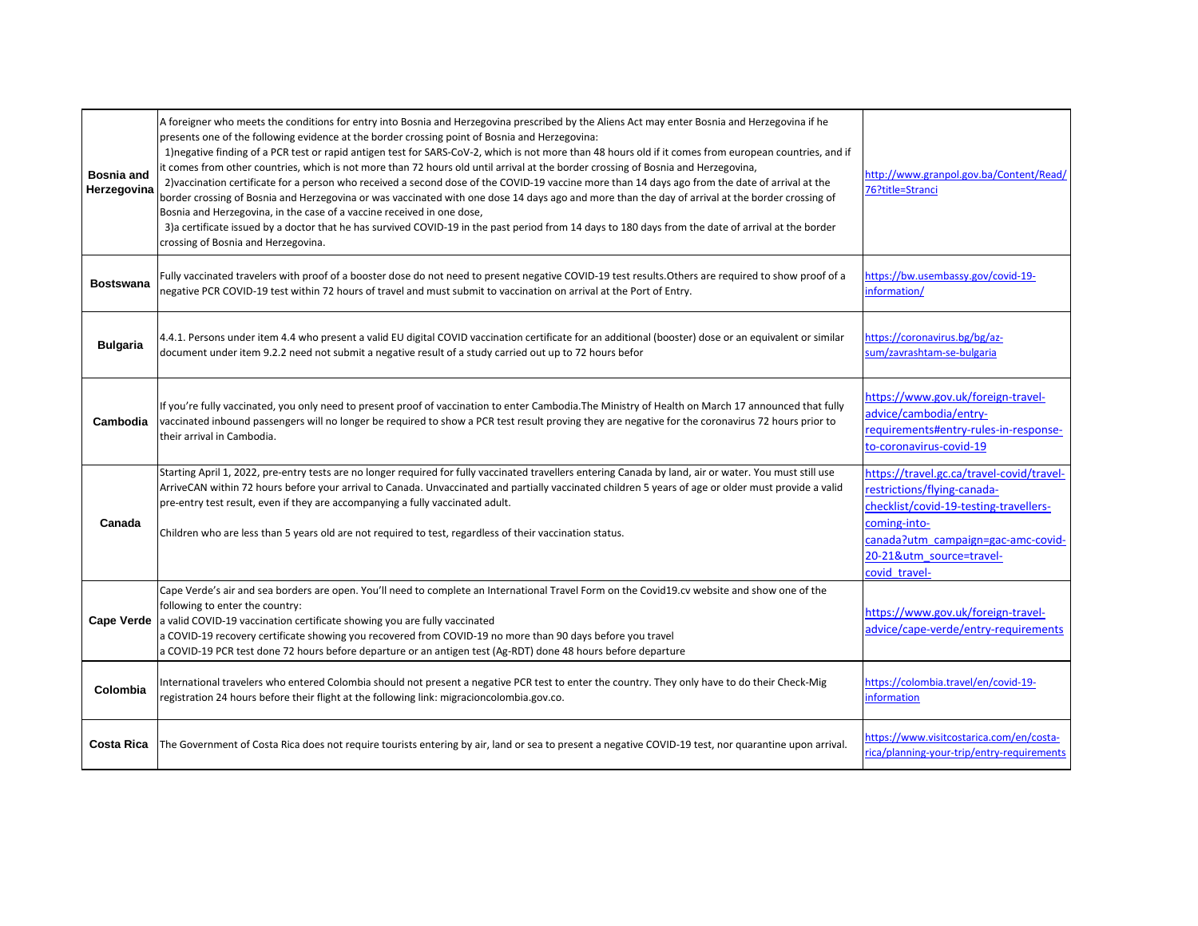| <b>Bosnia and</b><br>Herzegovina | A foreigner who meets the conditions for entry into Bosnia and Herzegovina prescribed by the Aliens Act may enter Bosnia and Herzegovina if he<br>presents one of the following evidence at the border crossing point of Bosnia and Herzegovina:<br>1) negative finding of a PCR test or rapid antigen test for SARS-CoV-2, which is not more than 48 hours old if it comes from european countries, and if<br>it comes from other countries, which is not more than 72 hours old until arrival at the border crossing of Bosnia and Herzegovina,<br>2) vaccination certificate for a person who received a second dose of the COVID-19 vaccine more than 14 days ago from the date of arrival at the<br>border crossing of Bosnia and Herzegovina or was vaccinated with one dose 14 days ago and more than the day of arrival at the border crossing of<br>Bosnia and Herzegovina, in the case of a vaccine received in one dose,<br>3) a certificate issued by a doctor that he has survived COVID-19 in the past period from 14 days to 180 days from the date of arrival at the border<br>crossing of Bosnia and Herzegovina. | http://www.granpol.gov.ba/Content/Read/<br>76?title=Stranci                                                                                                                                                           |  |
|----------------------------------|------------------------------------------------------------------------------------------------------------------------------------------------------------------------------------------------------------------------------------------------------------------------------------------------------------------------------------------------------------------------------------------------------------------------------------------------------------------------------------------------------------------------------------------------------------------------------------------------------------------------------------------------------------------------------------------------------------------------------------------------------------------------------------------------------------------------------------------------------------------------------------------------------------------------------------------------------------------------------------------------------------------------------------------------------------------------------------------------------------------------------------|-----------------------------------------------------------------------------------------------------------------------------------------------------------------------------------------------------------------------|--|
| <b>Bostswana</b>                 | Fully vaccinated travelers with proof of a booster dose do not need to present negative COVID-19 test results. Others are required to show proof of a<br>negative PCR COVID-19 test within 72 hours of travel and must submit to vaccination on arrival at the Port of Entry.                                                                                                                                                                                                                                                                                                                                                                                                                                                                                                                                                                                                                                                                                                                                                                                                                                                      | https://bw.usembassy.gov/covid-19-<br>information/                                                                                                                                                                    |  |
| <b>Bulgaria</b>                  | 4.4.1. Persons under item 4.4 who present a valid EU digital COVID vaccination certificate for an additional (booster) dose or an equivalent or similar<br>document under item 9.2.2 need not submit a negative result of a study carried out up to 72 hours befor                                                                                                                                                                                                                                                                                                                                                                                                                                                                                                                                                                                                                                                                                                                                                                                                                                                                 | https://coronavirus.bg/bg/az-<br>sum/zavrashtam-se-bulgaria                                                                                                                                                           |  |
| Cambodia                         | If you're fully vaccinated, you only need to present proof of vaccination to enter Cambodia. The Ministry of Health on March 17 announced that fully<br>vaccinated inbound passengers will no longer be required to show a PCR test result proving they are negative for the coronavirus 72 hours prior to<br>their arrival in Cambodia.                                                                                                                                                                                                                                                                                                                                                                                                                                                                                                                                                                                                                                                                                                                                                                                           | https://www.gov.uk/foreign-travel-<br>advice/cambodia/entry-<br>requirements#entry-rules-in-response-<br>to-coronavirus-covid-19                                                                                      |  |
| Canada                           | Starting April 1, 2022, pre-entry tests are no longer required for fully vaccinated travellers entering Canada by land, air or water. You must still use<br>ArriveCAN within 72 hours before your arrival to Canada. Unvaccinated and partially vaccinated children 5 years of age or older must provide a valid<br>pre-entry test result, even if they are accompanying a fully vaccinated adult.<br>Children who are less than 5 years old are not required to test, regardless of their vaccination status.                                                                                                                                                                                                                                                                                                                                                                                                                                                                                                                                                                                                                     | https://travel.gc.ca/travel-covid/travel-<br>restrictions/flying-canada-<br>checklist/covid-19-testing-travellers-<br>coming-into-<br>canada?utm_campaign=gac-amc-covid-<br>20-21&utm source=travel-<br>covid travel- |  |
|                                  | Cape Verde's air and sea borders are open. You'll need to complete an International Travel Form on the Covid19.cv website and show one of the<br>following to enter the country:<br><b>Cape Verde</b> a valid COVID-19 vaccination certificate showing you are fully vaccinated<br>a COVID-19 recovery certificate showing you recovered from COVID-19 no more than 90 days before you travel<br>a COVID-19 PCR test done 72 hours before departure or an antigen test (Ag-RDT) done 48 hours before departure                                                                                                                                                                                                                                                                                                                                                                                                                                                                                                                                                                                                                     | https://www.gov.uk/foreign-travel-<br>advice/cape-verde/entry-requirements                                                                                                                                            |  |
| Colombia                         | International travelers who entered Colombia should not present a negative PCR test to enter the country. They only have to do their Check-Mig<br>registration 24 hours before their flight at the following link: migracioncolombia.gov.co.                                                                                                                                                                                                                                                                                                                                                                                                                                                                                                                                                                                                                                                                                                                                                                                                                                                                                       | https://colombia.travel/en/covid-19-<br>information                                                                                                                                                                   |  |
| <b>Costa Rica</b>                | The Government of Costa Rica does not require tourists entering by air, land or sea to present a negative COVID-19 test, nor quarantine upon arrival.                                                                                                                                                                                                                                                                                                                                                                                                                                                                                                                                                                                                                                                                                                                                                                                                                                                                                                                                                                              | https://www.visitcostarica.com/en/costa-<br>rica/planning-your-trip/entry-requirements                                                                                                                                |  |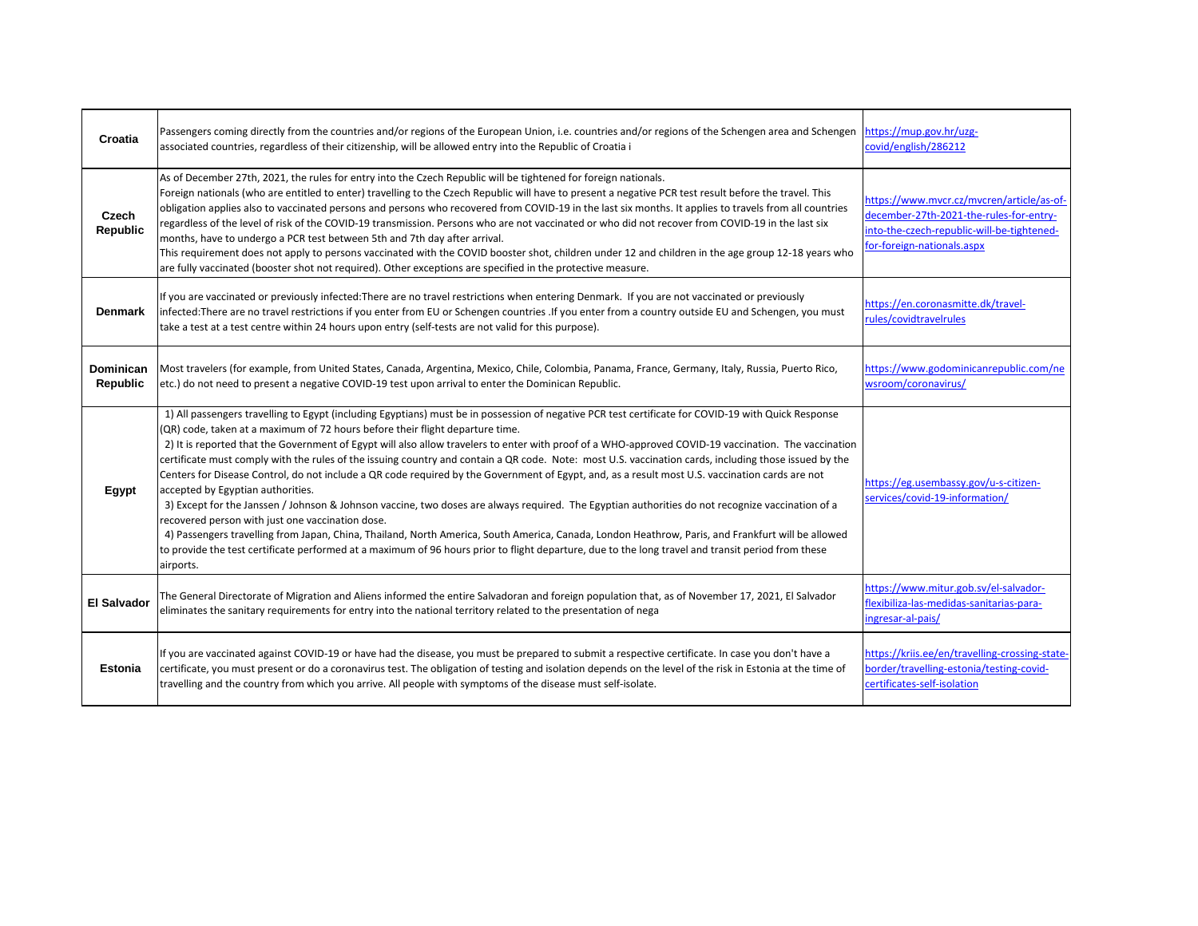| <b>Croatia</b>                      | Passengers coming directly from the countries and/or regions of the European Union, i.e. countries and/or regions of the Schengen area and Schengen https://mup.gov.hr/uzg-<br>associated countries, regardless of their citizenship, will be allowed entry into the Republic of Croatia i                                                                                                                                                                                                                                                                                                                                                                                                                                                                                                                                                                                                                                                                                                                                                                                                                                                                                                                                                                                    | covid/english/286212                                                                                                                                             |
|-------------------------------------|-------------------------------------------------------------------------------------------------------------------------------------------------------------------------------------------------------------------------------------------------------------------------------------------------------------------------------------------------------------------------------------------------------------------------------------------------------------------------------------------------------------------------------------------------------------------------------------------------------------------------------------------------------------------------------------------------------------------------------------------------------------------------------------------------------------------------------------------------------------------------------------------------------------------------------------------------------------------------------------------------------------------------------------------------------------------------------------------------------------------------------------------------------------------------------------------------------------------------------------------------------------------------------|------------------------------------------------------------------------------------------------------------------------------------------------------------------|
| <b>Czech</b><br><b>Republic</b>     | As of December 27th, 2021, the rules for entry into the Czech Republic will be tightened for foreign nationals.<br>Foreign nationals (who are entitled to enter) travelling to the Czech Republic will have to present a negative PCR test result before the travel. This<br>obligation applies also to vaccinated persons and persons who recovered from COVID-19 in the last six months. It applies to travels from all countries<br>regardless of the level of risk of the COVID-19 transmission. Persons who are not vaccinated or who did not recover from COVID-19 in the last six<br>months, have to undergo a PCR test between 5th and 7th day after arrival.<br>This requirement does not apply to persons vaccinated with the COVID booster shot, children under 12 and children in the age group 12-18 years who<br>are fully vaccinated (booster shot not required). Other exceptions are specified in the protective measure.                                                                                                                                                                                                                                                                                                                                    | https://www.mvcr.cz/mvcren/article/as-of-<br>december-27th-2021-the-rules-for-entry-<br>into-the-czech-republic-will-be-tightened-<br>for-foreign-nationals.aspx |
| <b>Denmark</b>                      | If you are vaccinated or previously infected: There are no travel restrictions when entering Denmark. If you are not vaccinated or previously<br>infected:There are no travel restrictions if you enter from EU or Schengen countries .If you enter from a country outside EU and Schengen, you must<br>take a test at a test centre within 24 hours upon entry (self-tests are not valid for this purpose).                                                                                                                                                                                                                                                                                                                                                                                                                                                                                                                                                                                                                                                                                                                                                                                                                                                                  | https://en.coronasmitte.dk/travel-<br>rules/covidtravelrules                                                                                                     |
| <b>Dominican</b><br><b>Republic</b> | Most travelers (for example, from United States, Canada, Argentina, Mexico, Chile, Colombia, Panama, France, Germany, Italy, Russia, Puerto Rico,<br>etc.) do not need to present a negative COVID-19 test upon arrival to enter the Dominican Republic.                                                                                                                                                                                                                                                                                                                                                                                                                                                                                                                                                                                                                                                                                                                                                                                                                                                                                                                                                                                                                      | https://www.godominicanrepublic.com/ne<br>wsroom/coronavirus/                                                                                                    |
| Egypt                               | 1) All passengers travelling to Egypt (including Egyptians) must be in possession of negative PCR test certificate for COVID-19 with Quick Response<br>(QR) code, taken at a maximum of 72 hours before their flight departure time.<br>2) It is reported that the Government of Egypt will also allow travelers to enter with proof of a WHO-approved COVID-19 vaccination. The vaccination<br>certificate must comply with the rules of the issuing country and contain a QR code. Note: most U.S. vaccination cards, including those issued by the<br>Centers for Disease Control, do not include a QR code required by the Government of Egypt, and, as a result most U.S. vaccination cards are not<br>accepted by Egyptian authorities.<br>3) Except for the Janssen / Johnson & Johnson vaccine, two doses are always required. The Egyptian authorities do not recognize vaccination of a<br>recovered person with just one vaccination dose.<br>4) Passengers travelling from Japan, China, Thailand, North America, South America, Canada, London Heathrow, Paris, and Frankfurt will be allowed<br>to provide the test certificate performed at a maximum of 96 hours prior to flight departure, due to the long travel and transit period from these<br>airports. | https://eg.usembassy.gov/u-s-citizen-<br>services/covid-19-information/                                                                                          |
| <b>El Salvador</b>                  | The General Directorate of Migration and Aliens informed the entire Salvadoran and foreign population that, as of November 17, 2021, El Salvador<br>eliminates the sanitary requirements for entry into the national territory related to the presentation of nega                                                                                                                                                                                                                                                                                                                                                                                                                                                                                                                                                                                                                                                                                                                                                                                                                                                                                                                                                                                                            | https://www.mitur.gob.sv/el-salvador-<br>flexibiliza-las-medidas-sanitarias-para-<br>ingresar-al-pais/                                                           |
| <b>Estonia</b>                      | If you are vaccinated against COVID-19 or have had the disease, you must be prepared to submit a respective certificate. In case you don't have a<br>certificate, you must present or do a coronavirus test. The obligation of testing and isolation depends on the level of the risk in Estonia at the time of<br>travelling and the country from which you arrive. All people with symptoms of the disease must self-isolate.                                                                                                                                                                                                                                                                                                                                                                                                                                                                                                                                                                                                                                                                                                                                                                                                                                               | https://kriis.ee/en/travelling-crossing-state-<br>border/travelling-estonia/testing-covid-<br>certificates-self-isolation                                        |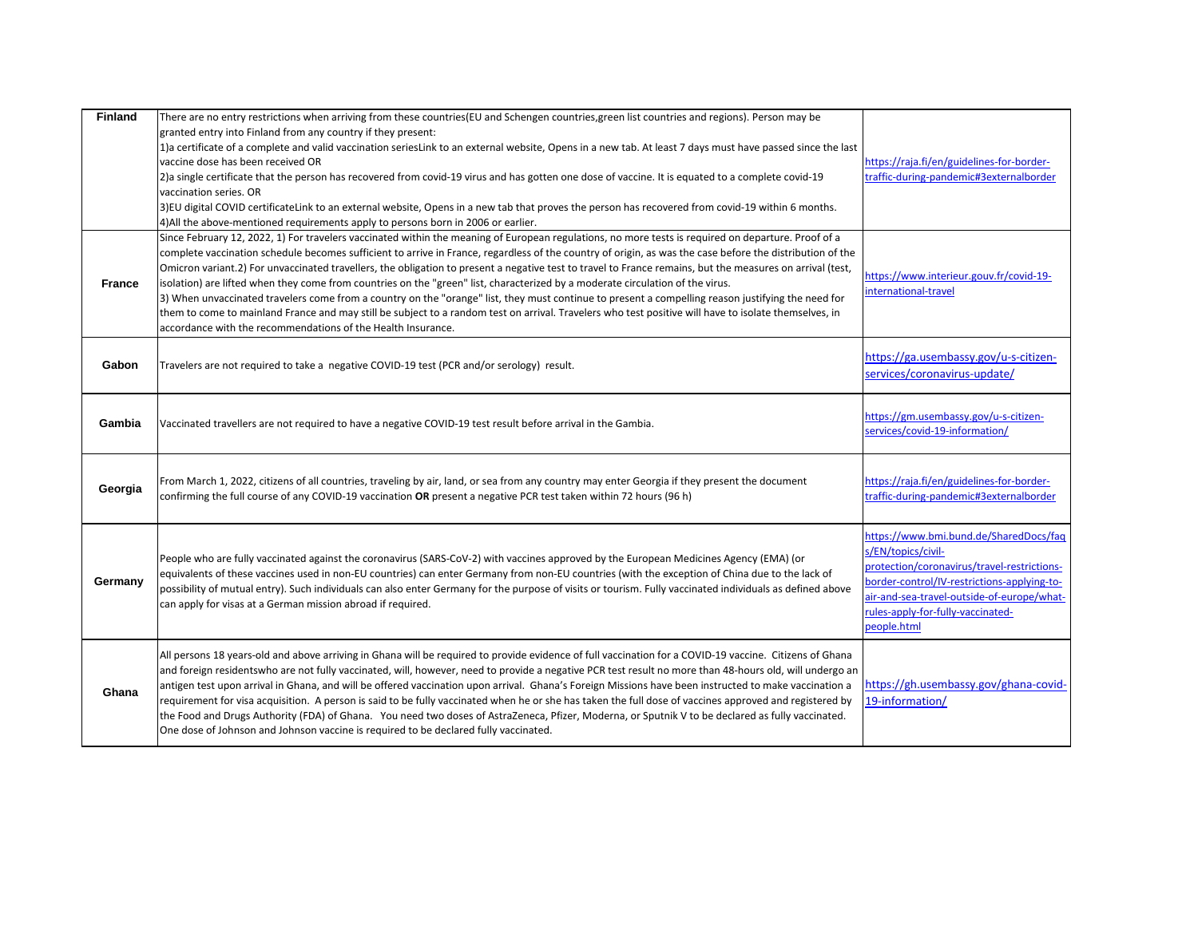| <b>Finland</b> | There are no entry restrictions when arriving from these countries(EU and Schengen countries, green list countries and regions). Person may be<br>granted entry into Finland from any country if they present:<br>1)a certificate of a complete and valid vaccination seriesLink to an external website, Opens in a new tab. At least 7 days must have passed since the last<br>vaccine dose has been received OR<br>2) a single certificate that the person has recovered from covid-19 virus and has gotten one dose of vaccine. It is equated to a complete covid-19<br>vaccination series. OR<br>3) EU digital COVID certificateLink to an external website, Opens in a new tab that proves the person has recovered from covid-19 within 6 months.<br>4) All the above-mentioned requirements apply to persons born in 2006 or earlier.                                                                                                                                                   | https://raja.fi/en/guidelines-for-border-<br>traffic-during-pandemic#3externalborder                                                                                                                                                                         |
|----------------|------------------------------------------------------------------------------------------------------------------------------------------------------------------------------------------------------------------------------------------------------------------------------------------------------------------------------------------------------------------------------------------------------------------------------------------------------------------------------------------------------------------------------------------------------------------------------------------------------------------------------------------------------------------------------------------------------------------------------------------------------------------------------------------------------------------------------------------------------------------------------------------------------------------------------------------------------------------------------------------------|--------------------------------------------------------------------------------------------------------------------------------------------------------------------------------------------------------------------------------------------------------------|
| <b>France</b>  | Since February 12, 2022, 1) For travelers vaccinated within the meaning of European regulations, no more tests is required on departure. Proof of a<br>complete vaccination schedule becomes sufficient to arrive in France, regardless of the country of origin, as was the case before the distribution of the<br>Omicron variant.2) For unvaccinated travellers, the obligation to present a negative test to travel to France remains, but the measures on arrival (test,<br>isolation) are lifted when they come from countries on the "green" list, characterized by a moderate circulation of the virus.<br>3) When unvaccinated travelers come from a country on the "orange" list, they must continue to present a compelling reason justifying the need for<br>them to come to mainland France and may still be subject to a random test on arrival. Travelers who test positive will have to isolate themselves, in<br>accordance with the recommendations of the Health Insurance. | https://www.interieur.gouv.fr/covid-19-<br>international-travel                                                                                                                                                                                              |
| Gabon          | Travelers are not required to take a negative COVID-19 test (PCR and/or serology) result.                                                                                                                                                                                                                                                                                                                                                                                                                                                                                                                                                                                                                                                                                                                                                                                                                                                                                                      | https://ga.usembassy.gov/u-s-citizen-<br>services/coronavirus-update/                                                                                                                                                                                        |
| Gambia         | Vaccinated travellers are not required to have a negative COVID-19 test result before arrival in the Gambia.                                                                                                                                                                                                                                                                                                                                                                                                                                                                                                                                                                                                                                                                                                                                                                                                                                                                                   | https://gm.usembassy.gov/u-s-citizen-<br>services/covid-19-information/                                                                                                                                                                                      |
| Georgia        | From March 1, 2022, citizens of all countries, traveling by air, land, or sea from any country may enter Georgia if they present the document<br>confirming the full course of any COVID-19 vaccination OR present a negative PCR test taken within 72 hours (96 h)                                                                                                                                                                                                                                                                                                                                                                                                                                                                                                                                                                                                                                                                                                                            | https://raja.fi/en/guidelines-for-border-<br>traffic-during-pandemic#3externalborder                                                                                                                                                                         |
| Germany        | People who are fully vaccinated against the coronavirus (SARS-CoV-2) with vaccines approved by the European Medicines Agency (EMA) (or<br>equivalents of these vaccines used in non-EU countries) can enter Germany from non-EU countries (with the exception of China due to the lack of<br>possibility of mutual entry). Such individuals can also enter Germany for the purpose of visits or tourism. Fully vaccinated individuals as defined above<br>can apply for visas at a German mission abroad if required.                                                                                                                                                                                                                                                                                                                                                                                                                                                                          | https://www.bmi.bund.de/SharedDocs/faq<br>s/EN/topics/civil-<br>protection/coronavirus/travel-restrictions-<br>border-control/IV-restrictions-applying-to-<br>air-and-sea-travel-outside-of-europe/what-<br>rules-apply-for-fully-vaccinated-<br>people.html |
| Ghana          | All persons 18 years-old and above arriving in Ghana will be required to provide evidence of full vaccination for a COVID-19 vaccine. Citizens of Ghana<br>and foreign residentswho are not fully vaccinated, will, however, need to provide a negative PCR test result no more than 48-hours old, will undergo an<br>antigen test upon arrival in Ghana, and will be offered vaccination upon arrival. Ghana's Foreign Missions have been instructed to make vaccination a<br>requirement for visa acquisition. A person is said to be fully vaccinated when he or she has taken the full dose of vaccines approved and registered by<br>the Food and Drugs Authority (FDA) of Ghana. You need two doses of AstraZeneca, Pfizer, Moderna, or Sputnik V to be declared as fully vaccinated.<br>One dose of Johnson and Johnson vaccine is required to be declared fully vaccinated.                                                                                                            | https://gh.usembassy.gov/ghana-covid-<br>19-information/                                                                                                                                                                                                     |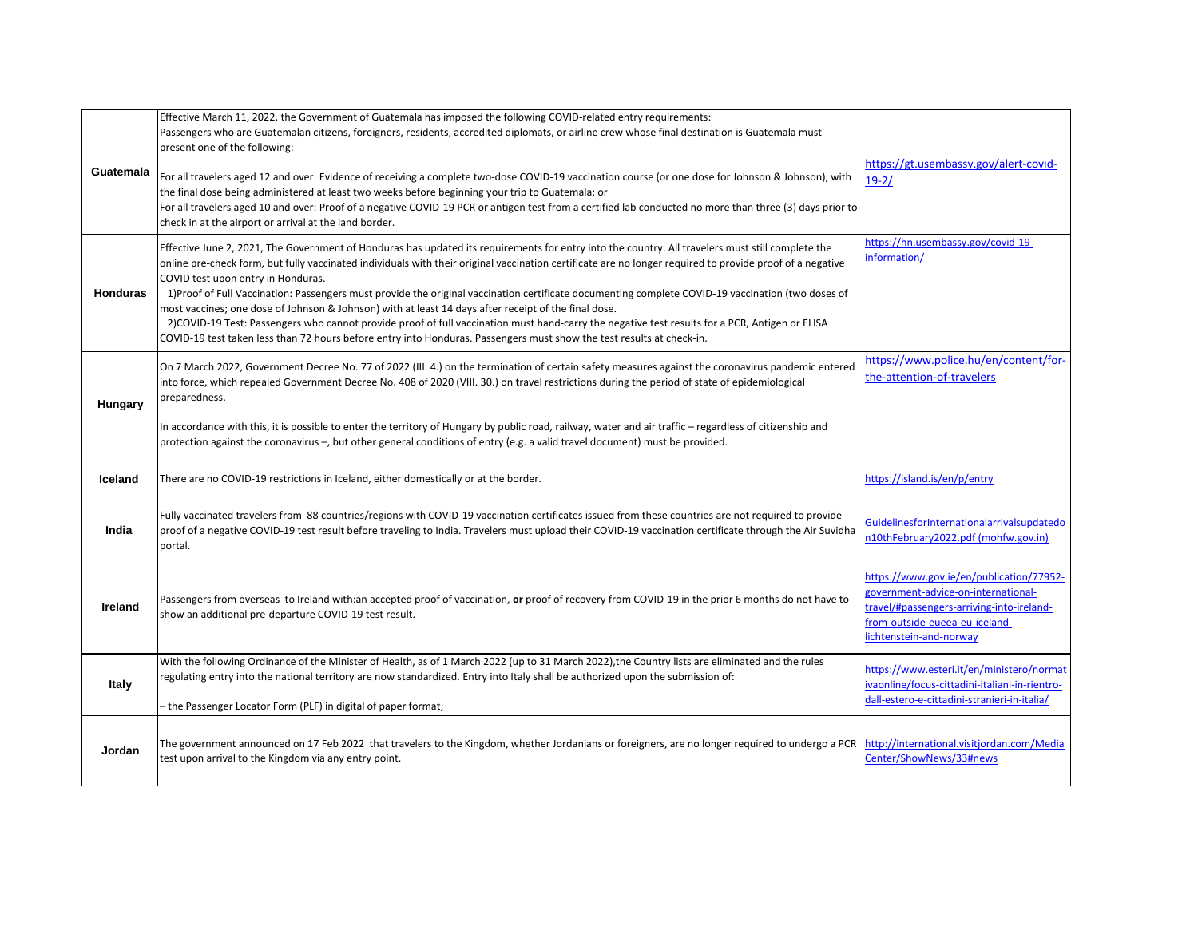| Guatemala       | Effective March 11, 2022, the Government of Guatemala has imposed the following COVID-related entry requirements:<br>Passengers who are Guatemalan citizens, foreigners, residents, accredited diplomats, or airline crew whose final destination is Guatemala must<br>present one of the following:<br>For all travelers aged 12 and over: Evidence of receiving a complete two-dose COVID-19 vaccination course (or one dose for Johnson & Johnson), with<br>the final dose being administered at least two weeks before beginning your trip to Guatemala; or<br>For all travelers aged 10 and over: Proof of a negative COVID-19 PCR or antigen test from a certified lab conducted no more than three (3) days prior to<br>check in at the airport or arrival at the land border.                                                                                                          | https://gt.usembassy.gov/alert-covid-<br>$19-2/$                                                                                                                                          |
|-----------------|------------------------------------------------------------------------------------------------------------------------------------------------------------------------------------------------------------------------------------------------------------------------------------------------------------------------------------------------------------------------------------------------------------------------------------------------------------------------------------------------------------------------------------------------------------------------------------------------------------------------------------------------------------------------------------------------------------------------------------------------------------------------------------------------------------------------------------------------------------------------------------------------|-------------------------------------------------------------------------------------------------------------------------------------------------------------------------------------------|
| <b>Honduras</b> | Effective June 2, 2021, The Government of Honduras has updated its requirements for entry into the country. All travelers must still complete the<br>online pre-check form, but fully vaccinated individuals with their original vaccination certificate are no longer required to provide proof of a negative<br>COVID test upon entry in Honduras.<br>1) Proof of Full Vaccination: Passengers must provide the original vaccination certificate documenting complete COVID-19 vaccination (two doses of<br>most vaccines; one dose of Johnson & Johnson) with at least 14 days after receipt of the final dose.<br>2) COVID-19 Test: Passengers who cannot provide proof of full vaccination must hand-carry the negative test results for a PCR, Antigen or ELISA<br>COVID-19 test taken less than 72 hours before entry into Honduras. Passengers must show the test results at check-in. | https://hn.usembassy.gov/covid-19-<br>information/                                                                                                                                        |
| <b>Hungary</b>  | On 7 March 2022, Government Decree No. 77 of 2022 (III. 4.) on the termination of certain safety measures against the coronavirus pandemic entered<br>into force, which repealed Government Decree No. 408 of 2020 (VIII. 30.) on travel restrictions during the period of state of epidemiological<br>preparedness.<br>In accordance with this, it is possible to enter the territory of Hungary by public road, railway, water and air traffic – regardless of citizenship and<br>protection against the coronavirus -, but other general conditions of entry (e.g. a valid travel document) must be provided.                                                                                                                                                                                                                                                                               | https://www.police.hu/en/content/for-<br>the-attention-of-travelers                                                                                                                       |
| <b>Iceland</b>  | There are no COVID-19 restrictions in Iceland, either domestically or at the border.                                                                                                                                                                                                                                                                                                                                                                                                                                                                                                                                                                                                                                                                                                                                                                                                           | https://island.is/en/p/entry                                                                                                                                                              |
| India           | Fully vaccinated travelers from 88 countries/regions with COVID-19 vaccination certificates issued from these countries are not required to provide<br>proof of a negative COVID-19 test result before traveling to India. Travelers must upload their COVID-19 vaccination certificate through the Air Suvidha<br>portal.                                                                                                                                                                                                                                                                                                                                                                                                                                                                                                                                                                     | GuidelinesforInternationalarrivalsupdatedo<br>n10thFebruary2022.pdf (mohfw.gov.in)                                                                                                        |
| <b>Ireland</b>  | Passengers from overseas to Ireland with:an accepted proof of vaccination, or proof of recovery from COVID-19 in the prior 6 months do not have to<br>show an additional pre-departure COVID-19 test result.                                                                                                                                                                                                                                                                                                                                                                                                                                                                                                                                                                                                                                                                                   | https://www.gov.ie/en/publication/77952-<br>government-advice-on-international-<br>travel/#passengers-arriving-into-ireland-<br>from-outside-eueea-eu-iceland-<br>lichtenstein-and-norway |
| <b>Italy</b>    | With the following Ordinance of the Minister of Health, as of 1 March 2022 (up to 31 March 2022), the Country lists are eliminated and the rules<br>regulating entry into the national territory are now standardized. Entry into Italy shall be authorized upon the submission of:<br>- the Passenger Locator Form (PLF) in digital of paper format;                                                                                                                                                                                                                                                                                                                                                                                                                                                                                                                                          | https://www.esteri.it/en/ministero/normat<br>ivaonline/focus-cittadini-italiani-in-rientro-<br>dall-estero-e-cittadini-stranieri-in-italia/                                               |
| Jordan          | The government announced on 17 Feb 2022 that travelers to the Kingdom, whether Jordanians or foreigners, are no longer required to undergo a PCR http://international.visitiordan.com/Media<br>test upon arrival to the Kingdom via any entry point.                                                                                                                                                                                                                                                                                                                                                                                                                                                                                                                                                                                                                                           | Center/ShowNews/33#news                                                                                                                                                                   |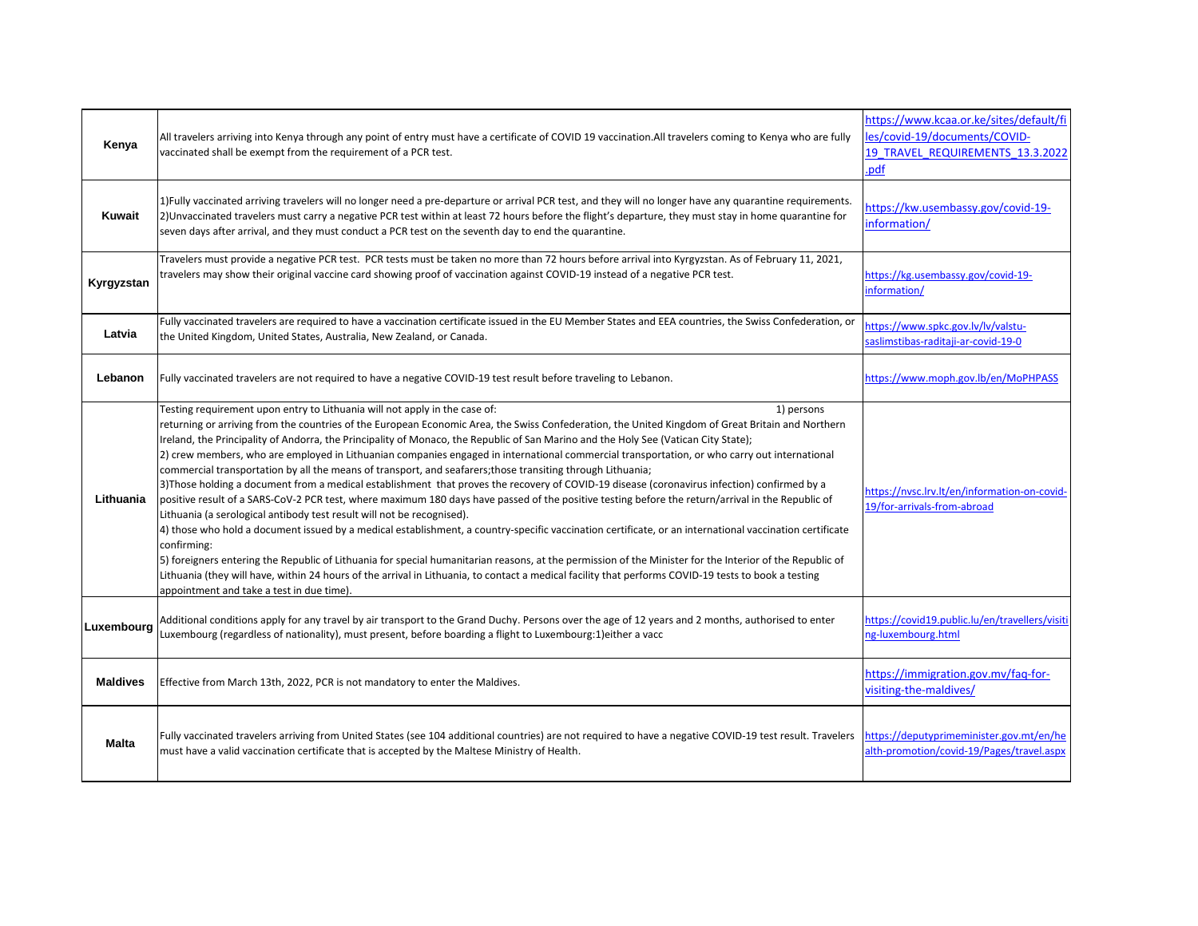| Kenya           | All travelers arriving into Kenya through any point of entry must have a certificate of COVID 19 vaccination. All travelers coming to Kenya who are fully<br>vaccinated shall be exempt from the requirement of a PCR test.                                                                                                                                                                                                                                                                                                                                                                                                                                                                                                                                                                                                                                                                                                                                                                                                                                                                                                                                                                                                                                                                                                                                                                                                                                                                                                                                                   | https://www.kcaa.or.ke/sites/default/fi<br>les/covid-19/documents/COVID-<br>19 TRAVEL REQUIREMENTS 13.3.2022<br><u>.pdf</u> |
|-----------------|-------------------------------------------------------------------------------------------------------------------------------------------------------------------------------------------------------------------------------------------------------------------------------------------------------------------------------------------------------------------------------------------------------------------------------------------------------------------------------------------------------------------------------------------------------------------------------------------------------------------------------------------------------------------------------------------------------------------------------------------------------------------------------------------------------------------------------------------------------------------------------------------------------------------------------------------------------------------------------------------------------------------------------------------------------------------------------------------------------------------------------------------------------------------------------------------------------------------------------------------------------------------------------------------------------------------------------------------------------------------------------------------------------------------------------------------------------------------------------------------------------------------------------------------------------------------------------|-----------------------------------------------------------------------------------------------------------------------------|
| Kuwait          | 1) Fully vaccinated arriving travelers will no longer need a pre-departure or arrival PCR test, and they will no longer have any quarantine requirements.<br>2) Unvaccinated travelers must carry a negative PCR test within at least 72 hours before the flight's departure, they must stay in home quarantine for<br>seven days after arrival, and they must conduct a PCR test on the seventh day to end the quarantine.                                                                                                                                                                                                                                                                                                                                                                                                                                                                                                                                                                                                                                                                                                                                                                                                                                                                                                                                                                                                                                                                                                                                                   | https://kw.usembassy.gov/covid-19-<br>information/                                                                          |
| Kyrgyzstan      | Travelers must provide a negative PCR test. PCR tests must be taken no more than 72 hours before arrival into Kyrgyzstan. As of February 11, 2021,<br>travelers may show their original vaccine card showing proof of vaccination against COVID-19 instead of a negative PCR test.                                                                                                                                                                                                                                                                                                                                                                                                                                                                                                                                                                                                                                                                                                                                                                                                                                                                                                                                                                                                                                                                                                                                                                                                                                                                                            | https://kg.usembassy.gov/covid-19-<br>information/                                                                          |
| Latvia          | Fully vaccinated travelers are required to have a vaccination certificate issued in the EU Member States and EEA countries, the Swiss Confederation, or<br>the United Kingdom, United States, Australia, New Zealand, or Canada.                                                                                                                                                                                                                                                                                                                                                                                                                                                                                                                                                                                                                                                                                                                                                                                                                                                                                                                                                                                                                                                                                                                                                                                                                                                                                                                                              | https://www.spkc.gov.lv/lv/valstu-<br>saslimstibas-raditaji-ar-covid-19-0                                                   |
| Lebanon         | Fully vaccinated travelers are not required to have a negative COVID-19 test result before traveling to Lebanon.                                                                                                                                                                                                                                                                                                                                                                                                                                                                                                                                                                                                                                                                                                                                                                                                                                                                                                                                                                                                                                                                                                                                                                                                                                                                                                                                                                                                                                                              | https://www.moph.gov.lb/en/MoPHPASS                                                                                         |
| Lithuania       | Testing requirement upon entry to Lithuania will not apply in the case of:<br>1) persons<br>returning or arriving from the countries of the European Economic Area, the Swiss Confederation, the United Kingdom of Great Britain and Northern<br>Ireland, the Principality of Andorra, the Principality of Monaco, the Republic of San Marino and the Holy See (Vatican City State);<br>2) crew members, who are employed in Lithuanian companies engaged in international commercial transportation, or who carry out international<br>commercial transportation by all the means of transport, and seafarers; those transiting through Lithuania;<br>3) Those holding a document from a medical establishment that proves the recovery of COVID-19 disease (coronavirus infection) confirmed by a<br>positive result of a SARS-CoV-2 PCR test, where maximum 180 days have passed of the positive testing before the return/arrival in the Republic of<br>Lithuania (a serological antibody test result will not be recognised).<br>4) those who hold a document issued by a medical establishment, a country-specific vaccination certificate, or an international vaccination certificate<br>confirming:<br>5) foreigners entering the Republic of Lithuania for special humanitarian reasons, at the permission of the Minister for the Interior of the Republic of<br>Lithuania (they will have, within 24 hours of the arrival in Lithuania, to contact a medical facility that performs COVID-19 tests to book a testing<br>appointment and take a test in due time). | https://nvsc.lrv.lt/en/information-on-covid-<br>19/for-arrivals-from-abroad                                                 |
| Luxembourg      | Additional conditions apply for any travel by air transport to the Grand Duchy. Persons over the age of 12 years and 2 months, authorised to enter<br>Luxembourg (regardless of nationality), must present, before boarding a flight to Luxembourg:1)either a vacc                                                                                                                                                                                                                                                                                                                                                                                                                                                                                                                                                                                                                                                                                                                                                                                                                                                                                                                                                                                                                                                                                                                                                                                                                                                                                                            | https://covid19.public.lu/en/travellers/visiti<br>ng-luxembourg.html                                                        |
| <b>Maldives</b> | Effective from March 13th, 2022, PCR is not mandatory to enter the Maldives.                                                                                                                                                                                                                                                                                                                                                                                                                                                                                                                                                                                                                                                                                                                                                                                                                                                                                                                                                                                                                                                                                                                                                                                                                                                                                                                                                                                                                                                                                                  | https://immigration.gov.mv/faq-for-<br>visiting-the-maldives/                                                               |
| <b>Malta</b>    | Fully vaccinated travelers arriving from United States (see 104 additional countries) are not required to have a negative COVID-19 test result. Travelers<br>must have a valid vaccination certificate that is accepted by the Maltese Ministry of Health.                                                                                                                                                                                                                                                                                                                                                                                                                                                                                                                                                                                                                                                                                                                                                                                                                                                                                                                                                                                                                                                                                                                                                                                                                                                                                                                    | https://deputyprimeminister.gov.mt/en/he<br>alth-promotion/covid-19/Pages/travel.aspx                                       |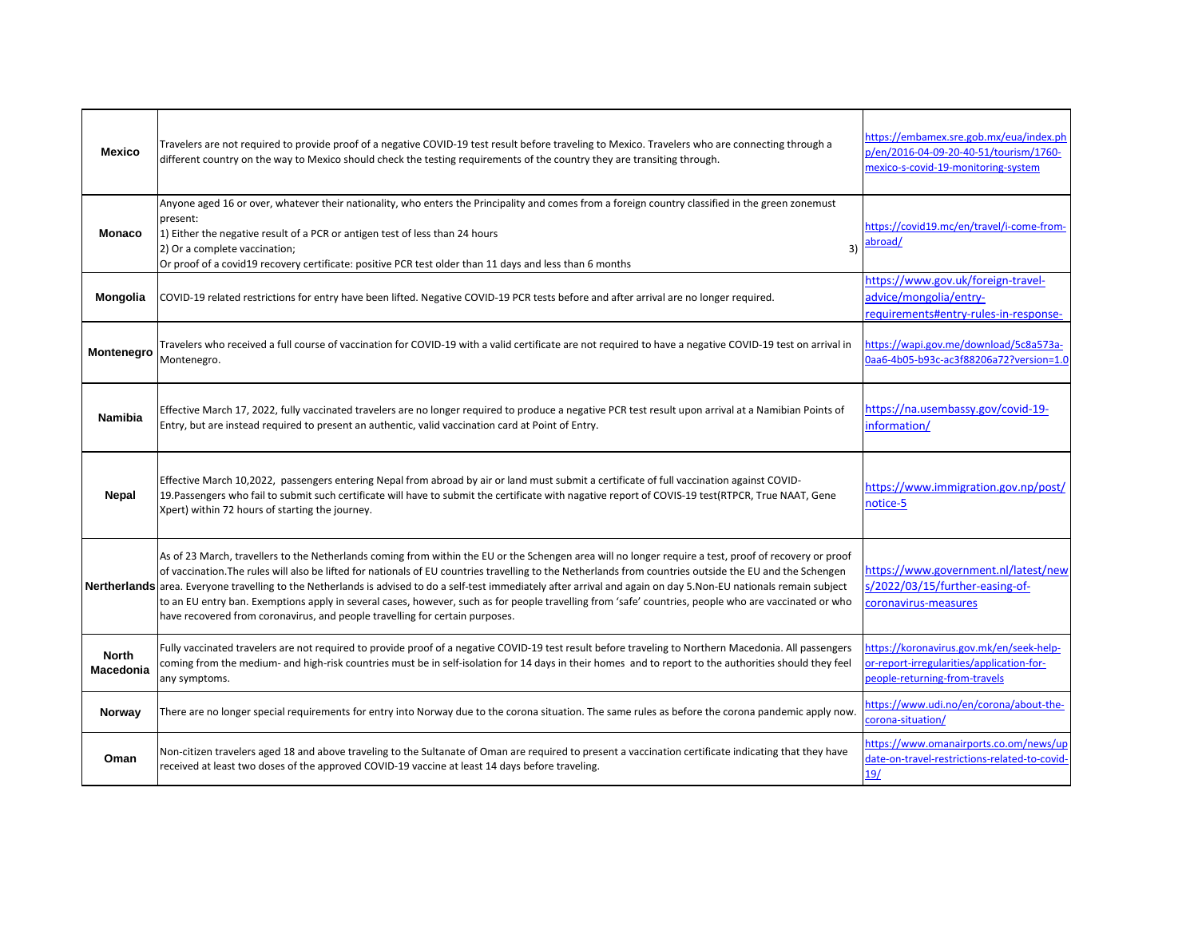| <b>Mexico</b>                    | Travelers are not required to provide proof of a negative COVID-19 test result before traveling to Mexico. Travelers who are connecting through a<br>different country on the way to Mexico should check the testing requirements of the country they are transiting through.                                                                                                                                                                                                                                                                                                                                                                                                                                                       | https://embamex.sre.gob.mx/eua/index.ph<br>p/en/2016-04-09-20-40-51/tourism/1760-<br>mexico-s-covid-19-monitoring-system |
|----------------------------------|-------------------------------------------------------------------------------------------------------------------------------------------------------------------------------------------------------------------------------------------------------------------------------------------------------------------------------------------------------------------------------------------------------------------------------------------------------------------------------------------------------------------------------------------------------------------------------------------------------------------------------------------------------------------------------------------------------------------------------------|--------------------------------------------------------------------------------------------------------------------------|
| <b>Monaco</b>                    | Anyone aged 16 or over, whatever their nationality, who enters the Principality and comes from a foreign country classified in the green zonemust<br>present:<br>1) Either the negative result of a PCR or antigen test of less than 24 hours<br>3)<br>2) Or a complete vaccination;<br>Or proof of a covid19 recovery certificate: positive PCR test older than 11 days and less than 6 months                                                                                                                                                                                                                                                                                                                                     | https://covid19.mc/en/travel/i-come-from-<br>abroad/                                                                     |
| <b>Mongolia</b>                  | COVID-19 related restrictions for entry have been lifted. Negative COVID-19 PCR tests before and after arrival are no longer required.                                                                                                                                                                                                                                                                                                                                                                                                                                                                                                                                                                                              | https://www.gov.uk/foreign-travel-<br>advice/mongolia/entry-<br>requirements#entry-rules-in-response-                    |
| Montenegro                       | Travelers who received a full course of vaccination for COVID-19 with a valid certificate are not required to have a negative COVID-19 test on arrival in<br>Montenegro.                                                                                                                                                                                                                                                                                                                                                                                                                                                                                                                                                            | https://wapi.gov.me/download/5c8a573a-<br>0aa6-4b05-b93c-ac3f88206a72?version=1.0                                        |
| Namibia                          | Effective March 17, 2022, fully vaccinated travelers are no longer required to produce a negative PCR test result upon arrival at a Namibian Points of<br>Entry, but are instead required to present an authentic, valid vaccination card at Point of Entry.                                                                                                                                                                                                                                                                                                                                                                                                                                                                        | https://na.usembassy.gov/covid-19-<br>information/                                                                       |
| <b>Nepal</b>                     | Effective March 10,2022, passengers entering Nepal from abroad by air or land must submit a certificate of full vaccination against COVID-<br>19. Passengers who fail to submit such certificate will have to submit the certificate with nagative report of COVIS-19 test(RTPCR, True NAAT, Gene<br>Xpert) within 72 hours of starting the journey.                                                                                                                                                                                                                                                                                                                                                                                | https://www.immigration.gov.np/post/<br>notice-5                                                                         |
|                                  | As of 23 March, travellers to the Netherlands coming from within the EU or the Schengen area will no longer require a test, proof of recovery or proof<br>of vaccination. The rules will also be lifted for nationals of EU countries travelling to the Netherlands from countries outside the EU and the Schengen<br>Nertherlands area. Everyone travelling to the Netherlands is advised to do a self-test immediately after arrival and again on day 5. Non-EU nationals remain subject<br>to an EU entry ban. Exemptions apply in several cases, however, such as for people travelling from 'safe' countries, people who are vaccinated or who<br>have recovered from coronavirus, and people travelling for certain purposes. | https://www.government.nl/latest/new<br>s/2022/03/15/further-easing-of-<br>coronavirus-measures                          |
| <b>North</b><br><b>Macedonia</b> | Fully vaccinated travelers are not required to provide proof of a negative COVID-19 test result before traveling to Northern Macedonia. All passengers<br>coming from the medium- and high-risk countries must be in self-isolation for 14 days in their homes and to report to the authorities should they feel<br>any symptoms.                                                                                                                                                                                                                                                                                                                                                                                                   | https://koronavirus.gov.mk/en/seek-help-<br>or-report-irregularities/application-for-<br>people-returning-from-travels   |
| <b>Norway</b>                    | There are no longer special requirements for entry into Norway due to the corona situation. The same rules as before the corona pandemic apply now.                                                                                                                                                                                                                                                                                                                                                                                                                                                                                                                                                                                 | https://www.udi.no/en/corona/about-the-<br>corona-situation/                                                             |
| Oman                             | Non-citizen travelers aged 18 and above traveling to the Sultanate of Oman are required to present a vaccination certificate indicating that they have<br>received at least two doses of the approved COVID-19 vaccine at least 14 days before traveling.                                                                                                                                                                                                                                                                                                                                                                                                                                                                           | https://www.omanairports.co.om/news/up<br>date-on-travel-restrictions-related-to-covid-<br>19/                           |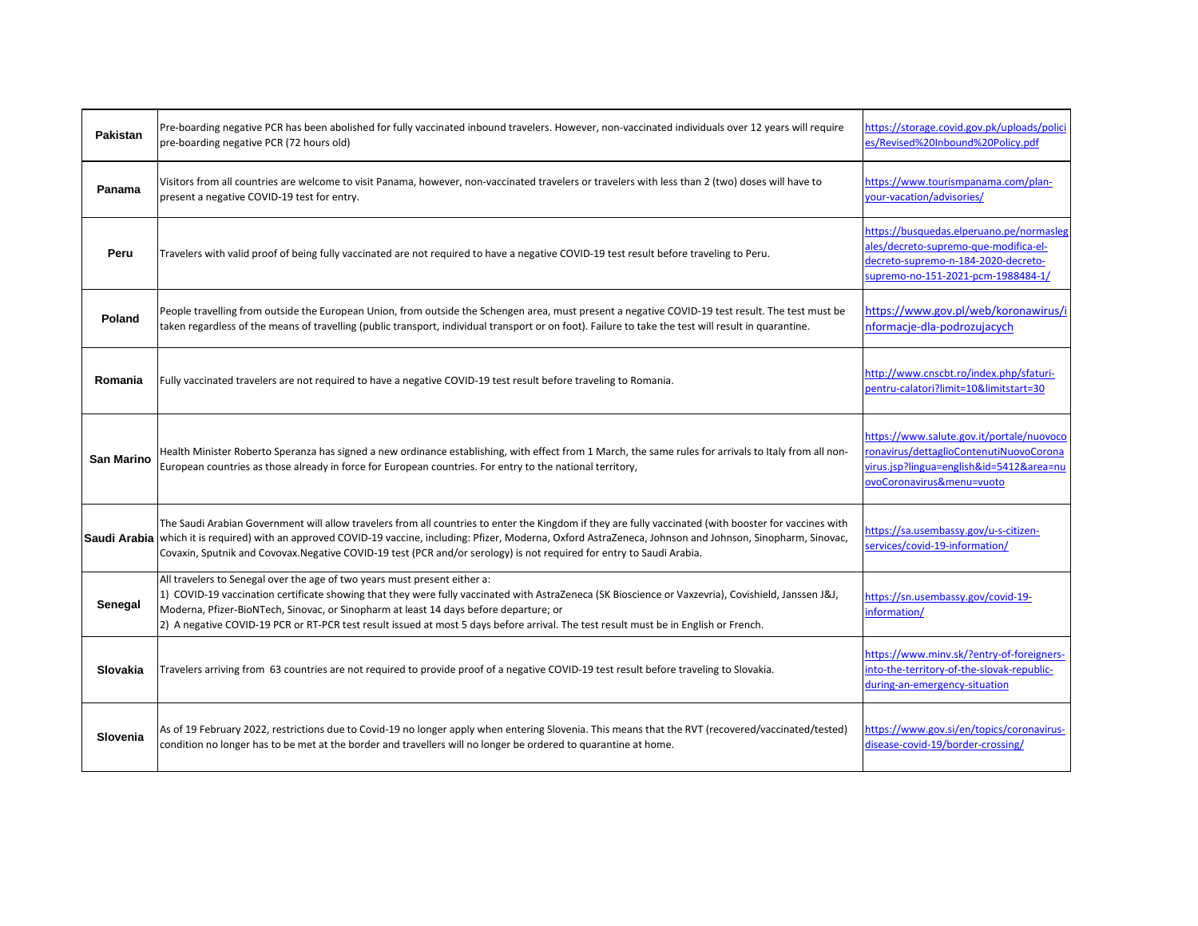| <b>Pakistan</b>   | Pre-boarding negative PCR has been abolished for fully vaccinated inbound travelers. However, non-vaccinated individuals over 12 years will require<br>pre-boarding negative PCR (72 hours old)                                                                                                                                                                                                                                                                    | https://storage.covid.gov.pk/uploads/polici<br>es/Revised%20Inbound%20Policy.pdf                                                                               |
|-------------------|--------------------------------------------------------------------------------------------------------------------------------------------------------------------------------------------------------------------------------------------------------------------------------------------------------------------------------------------------------------------------------------------------------------------------------------------------------------------|----------------------------------------------------------------------------------------------------------------------------------------------------------------|
| Panama            | Visitors from all countries are welcome to visit Panama, however, non-vaccinated travelers or travelers with less than 2 (two) doses will have to<br>present a negative COVID-19 test for entry.                                                                                                                                                                                                                                                                   | https://www.tourismpanama.com/plan-<br>your-vacation/advisories/                                                                                               |
| Peru              | Travelers with valid proof of being fully vaccinated are not required to have a negative COVID-19 test result before traveling to Peru.                                                                                                                                                                                                                                                                                                                            | https://busquedas.elperuano.pe/normasleg<br>ales/decreto-supremo-que-modifica-el-<br>decreto-supremo-n-184-2020-decreto-<br>supremo-no-151-2021-pcm-1988484-1/ |
| Poland            | People travelling from outside the European Union, from outside the Schengen area, must present a negative COVID-19 test result. The test must be<br>taken regardless of the means of travelling (public transport, individual transport or on foot). Failure to take the test will result in quarantine.                                                                                                                                                          | https://www.gov.pl/web/koronawirus/i<br>nformacje-dla-podrozujacych                                                                                            |
| Romania           | Fully vaccinated travelers are not required to have a negative COVID-19 test result before traveling to Romania.                                                                                                                                                                                                                                                                                                                                                   | http://www.cnscbt.ro/index.php/sfaturi-<br>pentru-calatori?limit=10&limitstart=30                                                                              |
| <b>San Marino</b> | Health Minister Roberto Speranza has signed a new ordinance establishing, with effect from 1 March, the same rules for arrivals to Italy from all non-<br>European countries as those already in force for European countries. For entry to the national territory,                                                                                                                                                                                                | https://www.salute.gov.it/portale/nuovoco<br>ronavirus/dettaglioContenutiNuovoCorona<br>virus.jsp?lingua=english&id=5412&area=nu<br>ovoCoronavirus&menu=vuoto  |
|                   | The Saudi Arabian Government will allow travelers from all countries to enter the Kingdom if they are fully vaccinated (with booster for vaccines with<br>Saudi Arabia which it is required) with an approved COVID-19 vaccine, including: Pfizer, Moderna, Oxford AstraZeneca, Johnson and Johnson, Sinopharm, Sinovac,<br>Covaxin, Sputnik and Covovax. Negative COVID-19 test (PCR and/or serology) is not required for entry to Saudi Arabia.                  | https://sa.usembassy.gov/u-s-citizen-<br>services/covid-19-information/                                                                                        |
| Senegal           | All travelers to Senegal over the age of two years must present either a:<br>1) COVID-19 vaccination certificate showing that they were fully vaccinated with AstraZeneca (SK Bioscience or Vaxzevria), Covishield, Janssen J&J,<br>Moderna, Pfizer-BioNTech, Sinovac, or Sinopharm at least 14 days before departure; or<br>[2] A negative COVID-19 PCR or RT-PCR test result issued at most 5 days before arrival. The test result must be in English or French. | https://sn.usembassy.gov/covid-19-<br>information/                                                                                                             |
| Slovakia          | Travelers arriving from 63 countries are not required to provide proof of a negative COVID-19 test result before traveling to Slovakia.                                                                                                                                                                                                                                                                                                                            | https://www.minv.sk/?entry-of-foreigners-<br>into-the-territory-of-the-slovak-republic-<br>during-an-emergency-situation                                       |
| Slovenia          | As of 19 February 2022, restrictions due to Covid-19 no longer apply when entering Slovenia. This means that the RVT (recovered/vaccinated/tested)<br>condition no longer has to be met at the border and travellers will no longer be ordered to quarantine at home.                                                                                                                                                                                              | https://www.gov.si/en/topics/coronavirus-<br>disease-covid-19/border-crossing/                                                                                 |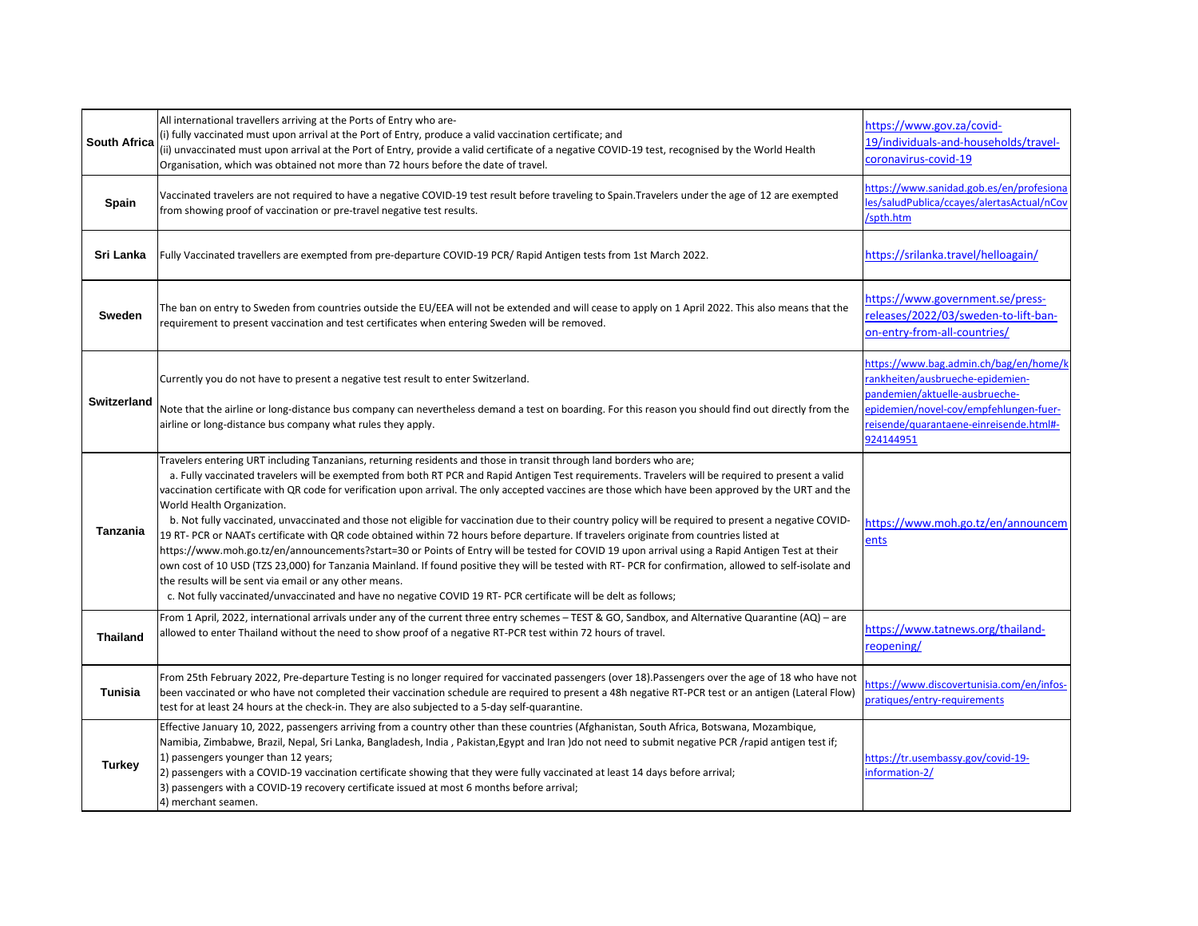| <b>South Africa</b> | All international travellers arriving at the Ports of Entry who are-<br>(i) fully vaccinated must upon arrival at the Port of Entry, produce a valid vaccination certificate; and<br>(ii) unvaccinated must upon arrival at the Port of Entry, provide a valid certificate of a negative COVID-19 test, recognised by the World Health<br>Organisation, which was obtained not more than 72 hours before the date of travel.                                                                                                                                                                                                                                                                                                                                                                                                                                                                                                                                                                                                                                                                                                                                                                                                                                    | https://www.gov.za/covid-<br>19/individuals-and-households/travel-<br>coronavirus-covid-19                                                                                                                     |
|---------------------|-----------------------------------------------------------------------------------------------------------------------------------------------------------------------------------------------------------------------------------------------------------------------------------------------------------------------------------------------------------------------------------------------------------------------------------------------------------------------------------------------------------------------------------------------------------------------------------------------------------------------------------------------------------------------------------------------------------------------------------------------------------------------------------------------------------------------------------------------------------------------------------------------------------------------------------------------------------------------------------------------------------------------------------------------------------------------------------------------------------------------------------------------------------------------------------------------------------------------------------------------------------------|----------------------------------------------------------------------------------------------------------------------------------------------------------------------------------------------------------------|
| <b>Spain</b>        | Vaccinated travelers are not required to have a negative COVID-19 test result before traveling to Spain. Travelers under the age of 12 are exempted<br>from showing proof of vaccination or pre-travel negative test results.                                                                                                                                                                                                                                                                                                                                                                                                                                                                                                                                                                                                                                                                                                                                                                                                                                                                                                                                                                                                                                   | https://www.sanidad.gob.es/en/profesiona<br>les/saludPublica/ccayes/alertasActual/nCov<br>/spth.htm                                                                                                            |
| Sri Lanka           | Fully Vaccinated travellers are exempted from pre-departure COVID-19 PCR/ Rapid Antigen tests from 1st March 2022.                                                                                                                                                                                                                                                                                                                                                                                                                                                                                                                                                                                                                                                                                                                                                                                                                                                                                                                                                                                                                                                                                                                                              | https://srilanka.travel/helloagain/                                                                                                                                                                            |
| <b>Sweden</b>       | The ban on entry to Sweden from countries outside the EU/EEA will not be extended and will cease to apply on 1 April 2022. This also means that the<br>requirement to present vaccination and test certificates when entering Sweden will be removed.                                                                                                                                                                                                                                                                                                                                                                                                                                                                                                                                                                                                                                                                                                                                                                                                                                                                                                                                                                                                           | https://www.government.se/press-<br>releases/2022/03/sweden-to-lift-ban-<br>on-entry-from-all-countries/                                                                                                       |
| <b>Switzerland</b>  | Currently you do not have to present a negative test result to enter Switzerland.<br>Note that the airline or long-distance bus company can nevertheless demand a test on boarding. For this reason you should find out directly from the<br>airline or long-distance bus company what rules they apply.                                                                                                                                                                                                                                                                                                                                                                                                                                                                                                                                                                                                                                                                                                                                                                                                                                                                                                                                                        | https://www.bag.admin.ch/bag/en/home/k<br>rankheiten/ausbrueche-epidemien-<br>pandemien/aktuelle-ausbrueche-<br>epidemien/novel-cov/empfehlungen-fuer-<br>reisende/quarantaene-einreisende.html#-<br>924144951 |
| <b>Tanzania</b>     | Travelers entering URT including Tanzanians, returning residents and those in transit through land borders who are;<br>a. Fully vaccinated travelers will be exempted from both RT PCR and Rapid Antigen Test requirements. Travelers will be required to present a valid<br>vaccination certificate with QR code for verification upon arrival. The only accepted vaccines are those which have been approved by the URT and the<br>World Health Organization.<br>b. Not fully vaccinated, unvaccinated and those not eligible for vaccination due to their country policy will be required to present a negative COVID-<br>19 RT- PCR or NAATs certificate with QR code obtained within 72 hours before departure. If travelers originate from countries listed at<br>https://www.moh.go.tz/en/announcements?start=30 or Points of Entry will be tested for COVID 19 upon arrival using a Rapid Antigen Test at their<br>own cost of 10 USD (TZS 23,000) for Tanzania Mainland. If found positive they will be tested with RT- PCR for confirmation, allowed to self-isolate and<br>the results will be sent via email or any other means.<br>c. Not fully vaccinated/unvaccinated and have no negative COVID 19 RT- PCR certificate will be delt as follows; | https://www.moh.go.tz/en/announcem<br>ents                                                                                                                                                                     |
| <b>Thailand</b>     | From 1 April, 2022, international arrivals under any of the current three entry schemes - TEST & GO, Sandbox, and Alternative Quarantine (AQ) - are<br>allowed to enter Thailand without the need to show proof of a negative RT-PCR test within 72 hours of travel.                                                                                                                                                                                                                                                                                                                                                                                                                                                                                                                                                                                                                                                                                                                                                                                                                                                                                                                                                                                            | https://www.tatnews.org/thailand-<br>reopening/                                                                                                                                                                |
| <b>Tunisia</b>      | From 25th February 2022, Pre-departure Testing is no longer required for vaccinated passengers (over 18).Passengers over the age of 18 who have not<br>been vaccinated or who have not completed their vaccination schedule are required to present a 48h negative RT-PCR test or an antigen (Lateral Flow)<br>test for at least 24 hours at the check-in. They are also subjected to a 5-day self-quarantine.                                                                                                                                                                                                                                                                                                                                                                                                                                                                                                                                                                                                                                                                                                                                                                                                                                                  | https://www.discovertunisia.com/en/infos-<br>pratiques/entry-requirements                                                                                                                                      |
| <b>Turkey</b>       | Effective January 10, 2022, passengers arriving from a country other than these countries (Afghanistan, South Africa, Botswana, Mozambique,<br>Namibia, Zimbabwe, Brazil, Nepal, Sri Lanka, Bangladesh, India, Pakistan, Egypt and Iran) do not need to submit negative PCR /rapid antigen test if;<br>1) passengers younger than 12 years;<br>2) passengers with a COVID-19 vaccination certificate showing that they were fully vaccinated at least 14 days before arrival;<br>3) passengers with a COVID-19 recovery certificate issued at most 6 months before arrival;<br>4) merchant seamen.                                                                                                                                                                                                                                                                                                                                                                                                                                                                                                                                                                                                                                                              | https://tr.usembassy.gov/covid-19-<br>information-2/                                                                                                                                                           |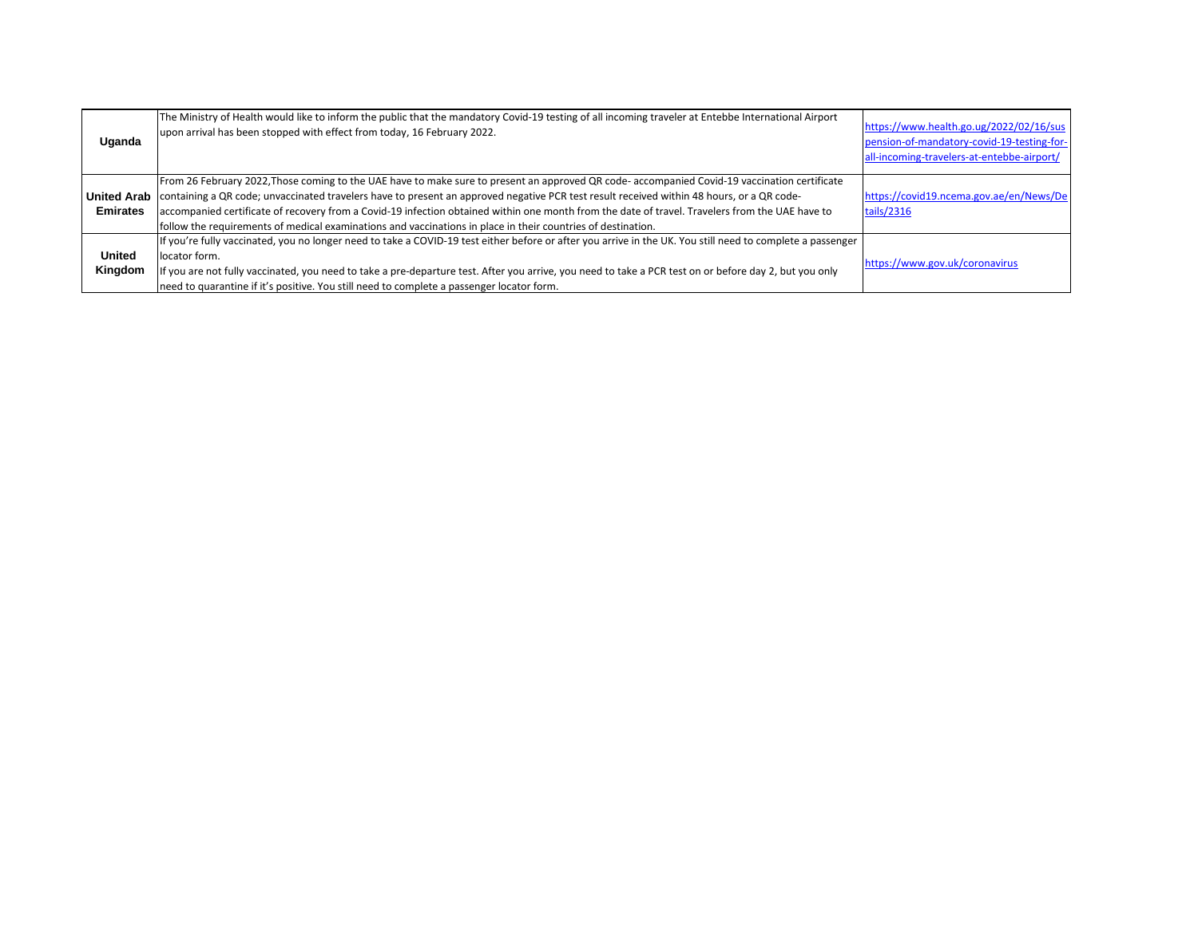| Uganda                                | The Ministry of Health would like to inform the public that the mandatory Covid-19 testing of all incoming traveler at Entebbe International Airport<br>upon arrival has been stopped with effect from today, 16 February 2022.                                                                                                                                                                                                                                                                                                                               | https://www.health.go.ug/2022/02/16/sus<br>pension-of-mandatory-covid-19-testing-for-<br>all-incoming-travelers-at-entebbe-airport/ |
|---------------------------------------|---------------------------------------------------------------------------------------------------------------------------------------------------------------------------------------------------------------------------------------------------------------------------------------------------------------------------------------------------------------------------------------------------------------------------------------------------------------------------------------------------------------------------------------------------------------|-------------------------------------------------------------------------------------------------------------------------------------|
| <b>United Arab</b><br><b>Emirates</b> | From 26 February 2022, Those coming to the UAE have to make sure to present an approved QR code- accompanied Covid-19 vaccination certificate<br>containing a QR code; unvaccinated travelers have to present an approved negative PCR test result received within 48 hours, or a QR code-<br>accompanied certificate of recovery from a Covid-19 infection obtained within one month from the date of travel. Travelers from the UAE have to<br>follow the requirements of medical examinations and vaccinations in place in their countries of destination. | https://covid19.ncema.gov.ae/en/News/De<br>tails/2316                                                                               |
| <b>United</b><br>Kingdom              | If you're fully vaccinated, you no longer need to take a COVID-19 test either before or after you arrive in the UK. You still need to complete a passenger<br>llocator form.<br>If you are not fully vaccinated, you need to take a pre-departure test. After you arrive, you need to take a PCR test on or before day 2, but you only<br>need to quarantine if it's positive. You still need to complete a passenger locator form.                                                                                                                           | https://www.gov.uk/coronavirus                                                                                                      |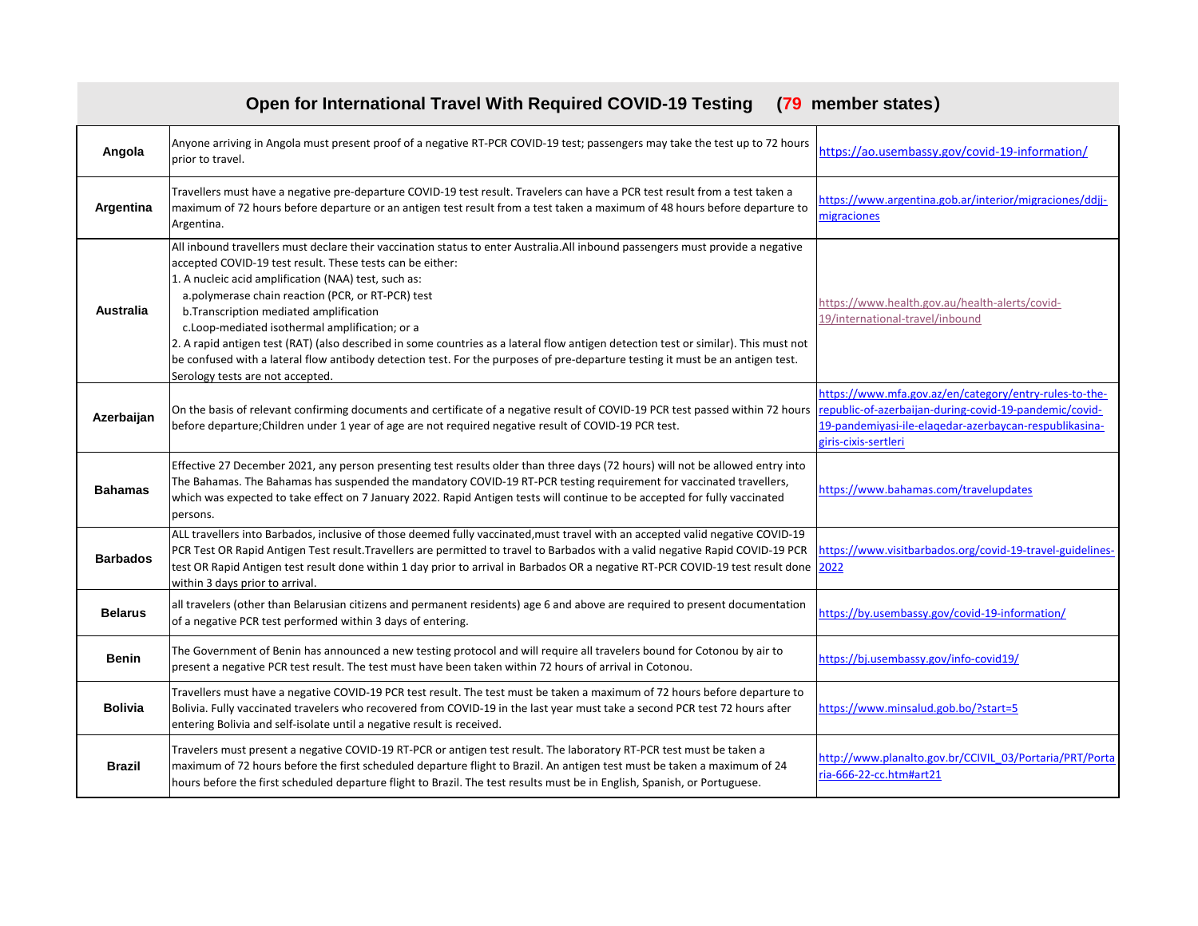## **Open for International Travel With Required COVID-19 Testing (79 member states)**

| Angola           | Anyone arriving in Angola must present proof of a negative RT-PCR COVID-19 test; passengers may take the test up to 72 hours<br>prior to travel.                                                                                                                                                                                                                                                                                                                                                                                                                                                                                                                                                                   | https://ao.usembassy.gov/covid-19-information/                                                                                           |
|------------------|--------------------------------------------------------------------------------------------------------------------------------------------------------------------------------------------------------------------------------------------------------------------------------------------------------------------------------------------------------------------------------------------------------------------------------------------------------------------------------------------------------------------------------------------------------------------------------------------------------------------------------------------------------------------------------------------------------------------|------------------------------------------------------------------------------------------------------------------------------------------|
| Argentina        | Travellers must have a negative pre-departure COVID-19 test result. Travelers can have a PCR test result from a test taken a<br>maximum of 72 hours before departure or an antigen test result from a test taken a maximum of 48 hours before departure to<br>Argentina.                                                                                                                                                                                                                                                                                                                                                                                                                                           | https://www.argentina.gob.ar/interior/migraciones/ddjj-<br>migraciones                                                                   |
| <b>Australia</b> | All inbound travellers must declare their vaccination status to enter Australia.All inbound passengers must provide a negative<br>accepted COVID-19 test result. These tests can be either:<br>1. A nucleic acid amplification (NAA) test, such as:<br>a.polymerase chain reaction (PCR, or RT-PCR) test<br>b. Transcription mediated amplification<br>c.Loop-mediated isothermal amplification; or a<br>2. A rapid antigen test (RAT) (also described in some countries as a lateral flow antigen detection test or similar). This must not<br>be confused with a lateral flow antibody detection test. For the purposes of pre-departure testing it must be an antigen test.<br>Serology tests are not accepted. | https://www.health.gov.au/health-alerts/covid-<br>19/international-travel/inbound                                                        |
| Azerbaijan       | On the basis of relevant confirming documents and certificate of a negative result of COVID-19 PCR test passed within 72 hours republic-of-azerbaijan-during-covid-19-pandemic/covid-<br>before departure; Children under 1 year of age are not required negative result of COVID-19 PCR test.                                                                                                                                                                                                                                                                                                                                                                                                                     | https://www.mfa.gov.az/en/category/entry-rules-to-the-<br>19-pandemiyasi-ile-elaqedar-azerbaycan-respublikasina-<br>giris-cixis-sertleri |
| <b>Bahamas</b>   | Effective 27 December 2021, any person presenting test results older than three days (72 hours) will not be allowed entry into<br>The Bahamas. The Bahamas has suspended the mandatory COVID-19 RT-PCR testing requirement for vaccinated travellers,<br>which was expected to take effect on 7 January 2022. Rapid Antigen tests will continue to be accepted for fully vaccinated<br>persons.                                                                                                                                                                                                                                                                                                                    | https://www.bahamas.com/travelupdates                                                                                                    |
| <b>Barbados</b>  | ALL travellers into Barbados, inclusive of those deemed fully vaccinated, must travel with an accepted valid negative COVID-19<br>PCR Test OR Rapid Antigen Test result. Travellers are permitted to travel to Barbados with a valid negative Rapid COVID-19 PCR<br>test OR Rapid Antigen test result done within 1 day prior to arrival in Barbados OR a negative RT-PCR COVID-19 test result done 2022<br>within 3 days prior to arrival.                                                                                                                                                                                                                                                                        | https://www.visitbarbados.org/covid-19-travel-guidelines-                                                                                |
| <b>Belarus</b>   | all travelers (other than Belarusian citizens and permanent residents) age 6 and above are required to present documentation<br>of a negative PCR test performed within 3 days of entering.                                                                                                                                                                                                                                                                                                                                                                                                                                                                                                                        | https://by.usembassy.gov/covid-19-information/                                                                                           |
| <b>Benin</b>     | The Government of Benin has announced a new testing protocol and will require all travelers bound for Cotonou by air to<br>present a negative PCR test result. The test must have been taken within 72 hours of arrival in Cotonou.                                                                                                                                                                                                                                                                                                                                                                                                                                                                                | https://bj.usembassy.gov/info-covid19/                                                                                                   |
| <b>Bolivia</b>   | Travellers must have a negative COVID-19 PCR test result. The test must be taken a maximum of 72 hours before departure to<br>Bolivia. Fully vaccinated travelers who recovered from COVID-19 in the last year must take a second PCR test 72 hours after<br>entering Bolivia and self-isolate until a negative result is received.                                                                                                                                                                                                                                                                                                                                                                                | https://www.minsalud.gob.bo/?start=5                                                                                                     |
| <b>Brazil</b>    | Travelers must present a negative COVID-19 RT-PCR or antigen test result. The laboratory RT-PCR test must be taken a<br>maximum of 72 hours before the first scheduled departure flight to Brazil. An antigen test must be taken a maximum of 24<br>hours before the first scheduled departure flight to Brazil. The test results must be in English, Spanish, or Portuguese.                                                                                                                                                                                                                                                                                                                                      | http://www.planalto.gov.br/CCIVIL 03/Portaria/PRT/Porta<br>ria-666-22-cc.htm#art21                                                       |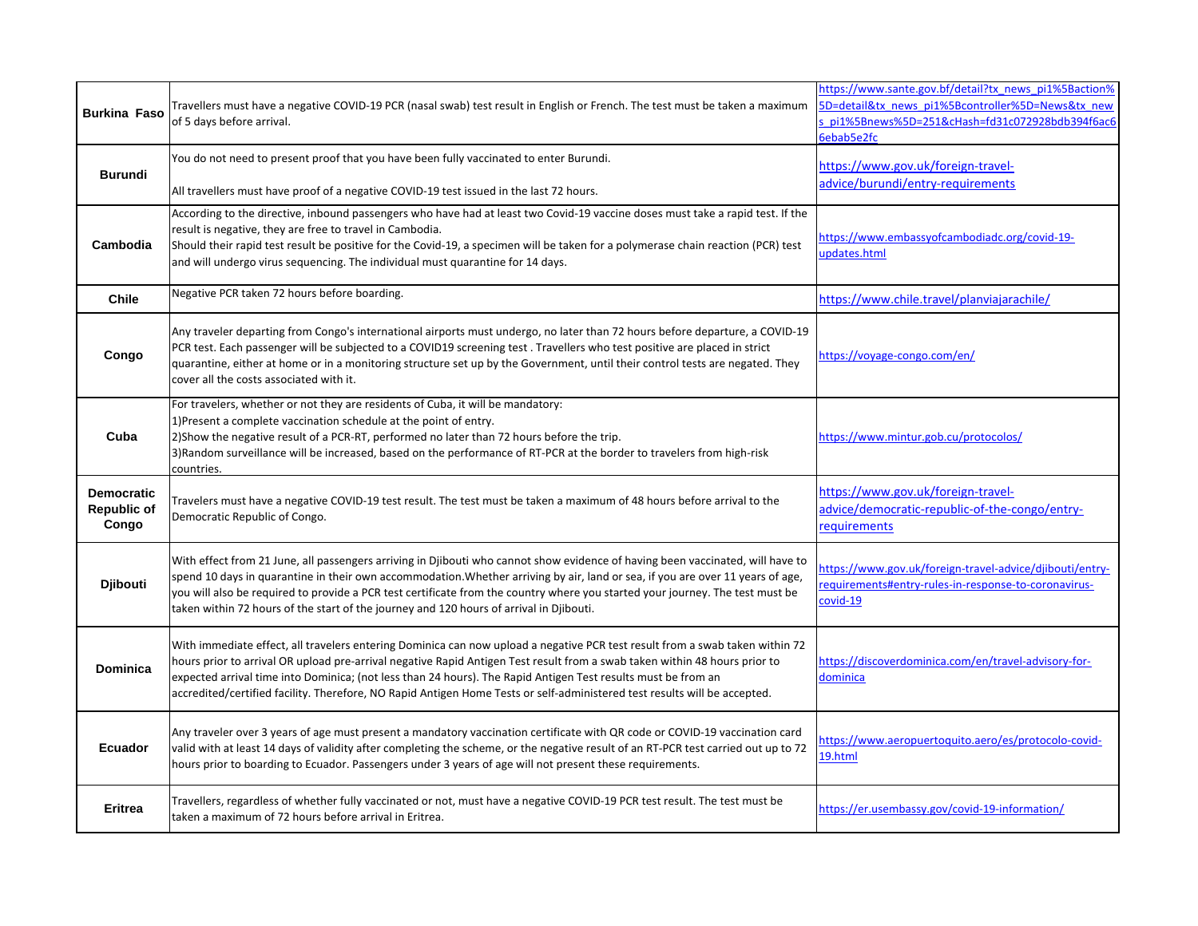| <b>Burkina Faso</b>                              | Travellers must have a negative COVID-19 PCR (nasal swab) test result in English or French. The test must be taken a maximum<br>of 5 days before arrival.                                                                                                                                                                                                                                                                                                                                                | https://www.sante.gov.bf/detail?tx news pi1%5Baction%<br>5D=detail&tx news pi1%5Bcontroller%5D=News&tx new<br>s pi1%5Bnews%5D=251&cHash=fd31c072928bdb394f6ac6<br>6ebab5e2fc |
|--------------------------------------------------|----------------------------------------------------------------------------------------------------------------------------------------------------------------------------------------------------------------------------------------------------------------------------------------------------------------------------------------------------------------------------------------------------------------------------------------------------------------------------------------------------------|------------------------------------------------------------------------------------------------------------------------------------------------------------------------------|
| <b>Burundi</b>                                   | You do not need to present proof that you have been fully vaccinated to enter Burundi.<br>All travellers must have proof of a negative COVID-19 test issued in the last 72 hours.                                                                                                                                                                                                                                                                                                                        | https://www.gov.uk/foreign-travel-<br>advice/burundi/entry-requirements                                                                                                      |
| Cambodia                                         | According to the directive, inbound passengers who have had at least two Covid-19 vaccine doses must take a rapid test. If the<br>result is negative, they are free to travel in Cambodia.<br>Should their rapid test result be positive for the Covid-19, a specimen will be taken for a polymerase chain reaction (PCR) test<br>and will undergo virus sequencing. The individual must quarantine for 14 days.                                                                                         | https://www.embassyofcambodiadc.org/covid-19-<br>updates.html                                                                                                                |
| <b>Chile</b>                                     | Negative PCR taken 72 hours before boarding.                                                                                                                                                                                                                                                                                                                                                                                                                                                             | https://www.chile.travel/planviajarachile/                                                                                                                                   |
| Congo                                            | Any traveler departing from Congo's international airports must undergo, no later than 72 hours before departure, a COVID-19<br>PCR test. Each passenger will be subjected to a COVID19 screening test. Travellers who test positive are placed in strict<br>quarantine, either at home or in a monitoring structure set up by the Government, until their control tests are negated. They<br>cover all the costs associated with it.                                                                    | https://voyage-congo.com/en/                                                                                                                                                 |
| Cuba                                             | For travelers, whether or not they are residents of Cuba, it will be mandatory:<br>1) Present a complete vaccination schedule at the point of entry.<br>2) Show the negative result of a PCR-RT, performed no later than 72 hours before the trip.<br>3) Random surveillance will be increased, based on the performance of RT-PCR at the border to travelers from high-risk<br>countries.                                                                                                               | https://www.mintur.gob.cu/protocolos/                                                                                                                                        |
| <b>Democratic</b><br><b>Republic of</b><br>Congo | Travelers must have a negative COVID-19 test result. The test must be taken a maximum of 48 hours before arrival to the<br>Democratic Republic of Congo.                                                                                                                                                                                                                                                                                                                                                 | https://www.gov.uk/foreign-travel-<br>advice/democratic-republic-of-the-congo/entry-<br>requirements                                                                         |
| <b>Djibouti</b>                                  | With effect from 21 June, all passengers arriving in Djibouti who cannot show evidence of having been vaccinated, will have to<br>spend 10 days in quarantine in their own accommodation. Whether arriving by air, land or sea, if you are over 11 years of age,<br>you will also be required to provide a PCR test certificate from the country where you started your journey. The test must be<br>taken within 72 hours of the start of the journey and 120 hours of arrival in Djibouti.             | https://www.gov.uk/foreign-travel-advice/djibouti/entry-<br>requirements#entry-rules-in-response-to-coronavirus-<br>covid-19                                                 |
| <b>Dominica</b>                                  | With immediate effect, all travelers entering Dominica can now upload a negative PCR test result from a swab taken within 72<br>hours prior to arrival OR upload pre-arrival negative Rapid Antigen Test result from a swab taken within 48 hours prior to<br>expected arrival time into Dominica; (not less than 24 hours). The Rapid Antigen Test results must be from an<br>accredited/certified facility. Therefore, NO Rapid Antigen Home Tests or self-administered test results will be accepted. | https://discoverdominica.com/en/travel-advisory-for-<br>dominica                                                                                                             |
| <b>Ecuador</b>                                   | Any traveler over 3 years of age must present a mandatory vaccination certificate with QR code or COVID-19 vaccination card<br>valid with at least 14 days of validity after completing the scheme, or the negative result of an RT-PCR test carried out up to 72<br>hours prior to boarding to Ecuador. Passengers under 3 years of age will not present these requirements.                                                                                                                            | https://www.aeropuertoquito.aero/es/protocolo-covid-<br>19.html                                                                                                              |
| <b>Eritrea</b>                                   | Travellers, regardless of whether fully vaccinated or not, must have a negative COVID-19 PCR test result. The test must be<br>taken a maximum of 72 hours before arrival in Eritrea.                                                                                                                                                                                                                                                                                                                     | https://er.usembassy.gov/covid-19-information/                                                                                                                               |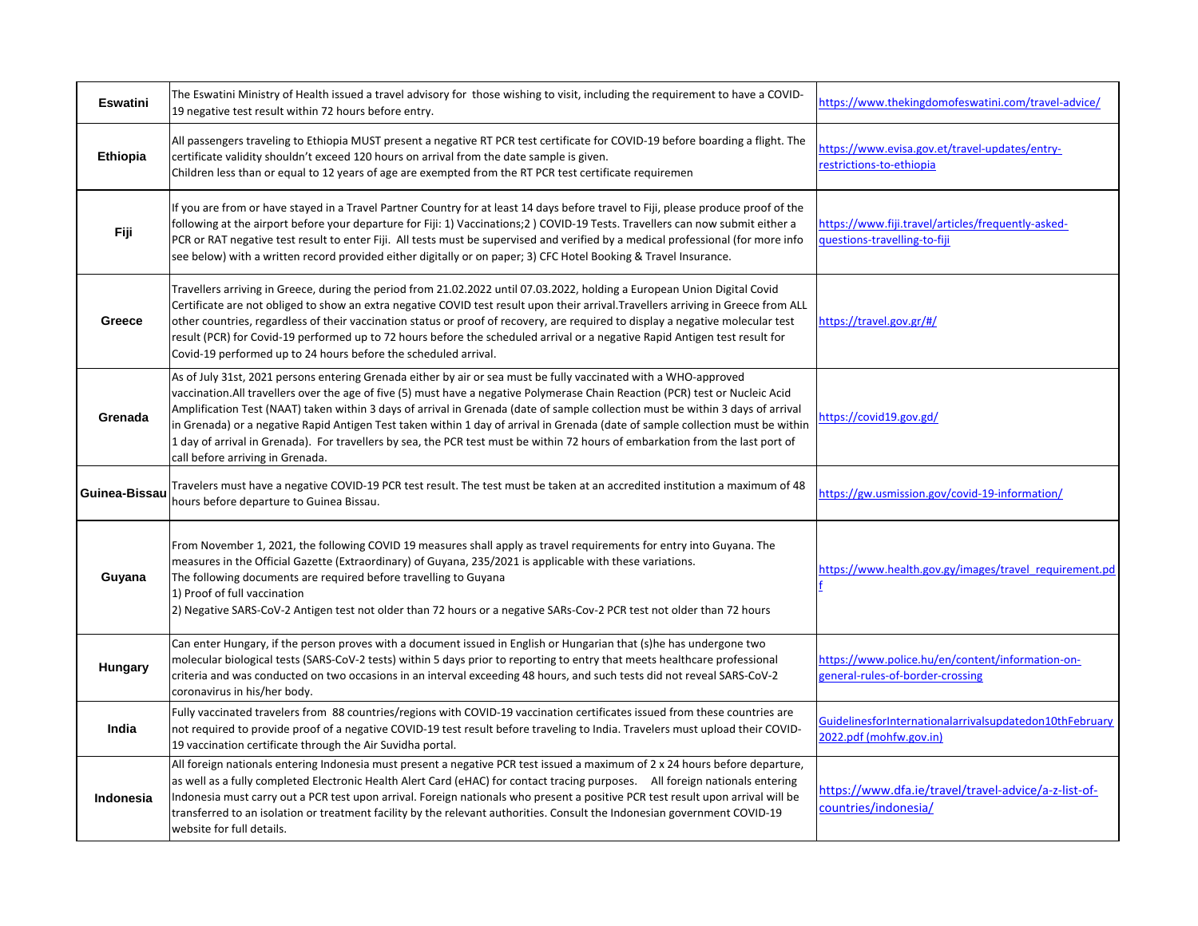| <b>Eswatini</b> | The Eswatini Ministry of Health issued a travel advisory for those wishing to visit, including the requirement to have a COVID-<br>19 negative test result within 72 hours before entry.                                                                                                                                                                                                                                                                                                                                                                                                                                                                                                       | https://www.thekingdomofeswatini.com/travel-advice/                                  |
|-----------------|------------------------------------------------------------------------------------------------------------------------------------------------------------------------------------------------------------------------------------------------------------------------------------------------------------------------------------------------------------------------------------------------------------------------------------------------------------------------------------------------------------------------------------------------------------------------------------------------------------------------------------------------------------------------------------------------|--------------------------------------------------------------------------------------|
| Ethiopia        | All passengers traveling to Ethiopia MUST present a negative RT PCR test certificate for COVID-19 before boarding a flight. The<br>certificate validity shouldn't exceed 120 hours on arrival from the date sample is given.<br>Children less than or equal to 12 years of age are exempted from the RT PCR test certificate requiremen                                                                                                                                                                                                                                                                                                                                                        | https://www.evisa.gov.et/travel-updates/entry-<br>restrictions-to-ethiopia           |
| Fiji            | If you are from or have stayed in a Travel Partner Country for at least 14 days before travel to Fiji, please produce proof of the<br>following at the airport before your departure for Fiji: 1) Vaccinations;2) COVID-19 Tests. Travellers can now submit either a<br>PCR or RAT negative test result to enter Fiji. All tests must be supervised and verified by a medical professional (for more info<br>see below) with a written record provided either digitally or on paper; 3) CFC Hotel Booking & Travel Insurance.                                                                                                                                                                  | https://www.fiji.travel/articles/frequently-asked-<br>questions-travelling-to-fiji   |
| <b>Greece</b>   | Travellers arriving in Greece, during the period from 21.02.2022 until 07.03.2022, holding a European Union Digital Covid<br>Certificate are not obliged to show an extra negative COVID test result upon their arrival. Travellers arriving in Greece from ALL<br>other countries, regardless of their vaccination status or proof of recovery, are required to display a negative molecular test<br>result (PCR) for Covid-19 performed up to 72 hours before the scheduled arrival or a negative Rapid Antigen test result for<br>Covid-19 performed up to 24 hours before the scheduled arrival.                                                                                           | https://travel.gov.gr/#/                                                             |
| Grenada         | As of July 31st, 2021 persons entering Grenada either by air or sea must be fully vaccinated with a WHO-approved<br>vaccination. All travellers over the age of five (5) must have a negative Polymerase Chain Reaction (PCR) test or Nucleic Acid<br>Amplification Test (NAAT) taken within 3 days of arrival in Grenada (date of sample collection must be within 3 days of arrival<br>in Grenada) or a negative Rapid Antigen Test taken within 1 day of arrival in Grenada (date of sample collection must be within<br>1 day of arrival in Grenada). For travellers by sea, the PCR test must be within 72 hours of embarkation from the last port of<br>call before arriving in Grenada. | https://covid19.gov.gd/                                                              |
| Guinea-Bissau   | Travelers must have a negative COVID-19 PCR test result. The test must be taken at an accredited institution a maximum of 48<br>hours before departure to Guinea Bissau.                                                                                                                                                                                                                                                                                                                                                                                                                                                                                                                       | https://gw.usmission.gov/covid-19-information/                                       |
| Guyana          | From November 1, 2021, the following COVID 19 measures shall apply as travel requirements for entry into Guyana. The<br>measures in the Official Gazette (Extraordinary) of Guyana, 235/2021 is applicable with these variations.<br>The following documents are required before travelling to Guyana<br>1) Proof of full vaccination<br>2) Negative SARS-CoV-2 Antigen test not older than 72 hours or a negative SARs-Cov-2 PCR test not older than 72 hours                                                                                                                                                                                                                                 | https://www.health.gov.gy/images/travel requirement.pd                               |
| <b>Hungary</b>  | Can enter Hungary, if the person proves with a document issued in English or Hungarian that (s)he has undergone two<br>molecular biological tests (SARS-CoV-2 tests) within 5 days prior to reporting to entry that meets healthcare professional<br>criteria and was conducted on two occasions in an interval exceeding 48 hours, and such tests did not reveal SARS-CoV-2<br>coronavirus in his/her body.                                                                                                                                                                                                                                                                                   | https://www.police.hu/en/content/information-on-<br>general-rules-of-border-crossing |
| India           | Fully vaccinated travelers from 88 countries/regions with COVID-19 vaccination certificates issued from these countries are<br>not required to provide proof of a negative COVID-19 test result before traveling to India. Travelers must upload their COVID-<br>19 vaccination certificate through the Air Suvidha portal.                                                                                                                                                                                                                                                                                                                                                                    | GuidelinesforInternationalarrivalsupdatedon10thFebruary<br>2022.pdf (mohfw.gov.in)   |
| Indonesia       | All foreign nationals entering Indonesia must present a negative PCR test issued a maximum of 2 x 24 hours before departure,<br>as well as a fully completed Electronic Health Alert Card (eHAC) for contact tracing purposes. All foreign nationals entering<br>Indonesia must carry out a PCR test upon arrival. Foreign nationals who present a positive PCR test result upon arrival will be<br>transferred to an isolation or treatment facility by the relevant authorities. Consult the Indonesian government COVID-19<br>website for full details.                                                                                                                                     | https://www.dfa.ie/travel/travel-advice/a-z-list-of-<br>countries/indonesia/         |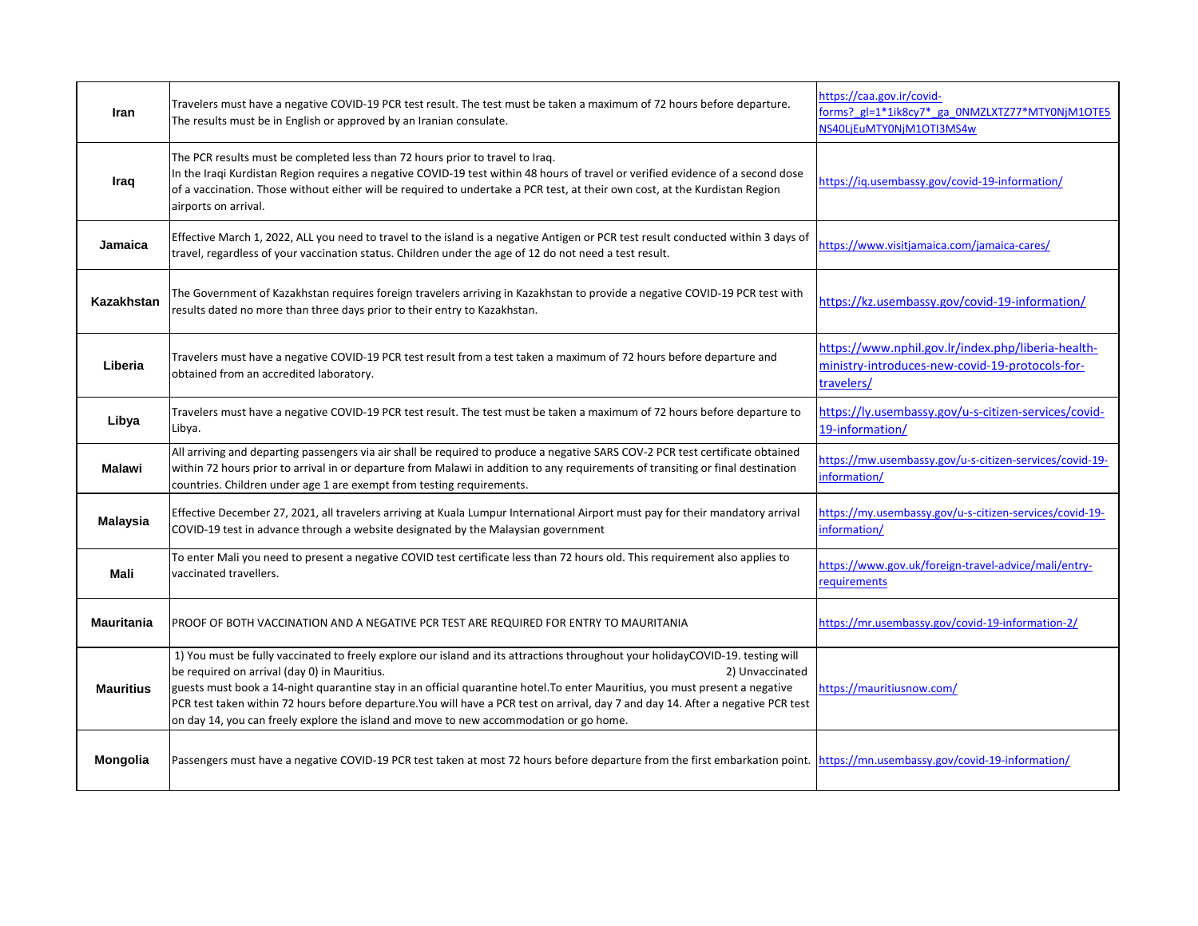| Iran              | Travelers must have a negative COVID-19 PCR test result. The test must be taken a maximum of 72 hours before departure.<br>The results must be in English or approved by an Iranian consulate.                                                                                                                                                                                                                                                                                                                                                                   | https://caa.gov.ir/covid-<br>forms? gl=1*1ik8cy7* ga 0NMZLXTZ77*MTY0NjM1OTE5<br>NS40LjEuMTY0NjM1OTI3MS4w            |
|-------------------|------------------------------------------------------------------------------------------------------------------------------------------------------------------------------------------------------------------------------------------------------------------------------------------------------------------------------------------------------------------------------------------------------------------------------------------------------------------------------------------------------------------------------------------------------------------|---------------------------------------------------------------------------------------------------------------------|
| Iraq              | The PCR results must be completed less than 72 hours prior to travel to Iraq.<br>In the Iraqi Kurdistan Region requires a negative COVID-19 test within 48 hours of travel or verified evidence of a second dose<br>of a vaccination. Those without either will be required to undertake a PCR test, at their own cost, at the Kurdistan Region<br>airports on arrival.                                                                                                                                                                                          | https://iq.usembassy.gov/covid-19-information/                                                                      |
| Jamaica           | Effective March 1, 2022, ALL you need to travel to the island is a negative Antigen or PCR test result conducted within 3 days of<br>travel, regardless of your vaccination status. Children under the age of 12 do not need a test result.                                                                                                                                                                                                                                                                                                                      | https://www.visitjamaica.com/jamaica-cares/                                                                         |
| <b>Kazakhstan</b> | The Government of Kazakhstan requires foreign travelers arriving in Kazakhstan to provide a negative COVID-19 PCR test with<br>results dated no more than three days prior to their entry to Kazakhstan.                                                                                                                                                                                                                                                                                                                                                         | https://kz.usembassy.gov/covid-19-information/                                                                      |
| Liberia           | Travelers must have a negative COVID-19 PCR test result from a test taken a maximum of 72 hours before departure and<br>obtained from an accredited laboratory.                                                                                                                                                                                                                                                                                                                                                                                                  | https://www.nphil.gov.lr/index.php/liberia-health-<br>ministry-introduces-new-covid-19-protocols-for-<br>travelers/ |
| Libya             | Travelers must have a negative COVID-19 PCR test result. The test must be taken a maximum of 72 hours before departure to<br>Libya.                                                                                                                                                                                                                                                                                                                                                                                                                              | https://ly.usembassy.gov/u-s-citizen-services/covid-<br>19-information/                                             |
| <b>Malawi</b>     | All arriving and departing passengers via air shall be required to produce a negative SARS COV-2 PCR test certificate obtained<br>within 72 hours prior to arrival in or departure from Malawi in addition to any requirements of transiting or final destination<br>countries. Children under age 1 are exempt from testing requirements.                                                                                                                                                                                                                       | https://mw.usembassy.gov/u-s-citizen-services/covid-19-<br>information/                                             |
| <b>Malaysia</b>   | Effective December 27, 2021, all travelers arriving at Kuala Lumpur International Airport must pay for their mandatory arrival<br>COVID-19 test in advance through a website designated by the Malaysian government                                                                                                                                                                                                                                                                                                                                              | https://my.usembassy.gov/u-s-citizen-services/covid-19-<br>information/                                             |
| <b>Mali</b>       | To enter Mali you need to present a negative COVID test certificate less than 72 hours old. This requirement also applies to<br>vaccinated travellers.                                                                                                                                                                                                                                                                                                                                                                                                           | https://www.gov.uk/foreign-travel-advice/mali/entry-<br>requirements                                                |
| <b>Mauritania</b> | PROOF OF BOTH VACCINATION AND A NEGATIVE PCR TEST ARE REQUIRED FOR ENTRY TO MAURITANIA                                                                                                                                                                                                                                                                                                                                                                                                                                                                           | https://mr.usembassy.gov/covid-19-information-2/                                                                    |
| <b>Mauritius</b>  | 1) You must be fully vaccinated to freely explore our island and its attractions throughout your holidayCOVID-19. testing will<br>be required on arrival (day 0) in Mauritius.<br>2) Unvaccinated<br>guests must book a 14-night quarantine stay in an official quarantine hotel. To enter Mauritius, you must present a negative<br>PCR test taken within 72 hours before departure. You will have a PCR test on arrival, day 7 and day 14. After a negative PCR test<br>on day 14, you can freely explore the island and move to new accommodation or go home. | https://mauritiusnow.com/                                                                                           |
| Mongolia          | Passengers must have a negative COVID-19 PCR test taken at most 72 hours before departure from the first embarkation point. https://mn.usembassy.gov/covid-19-information/                                                                                                                                                                                                                                                                                                                                                                                       |                                                                                                                     |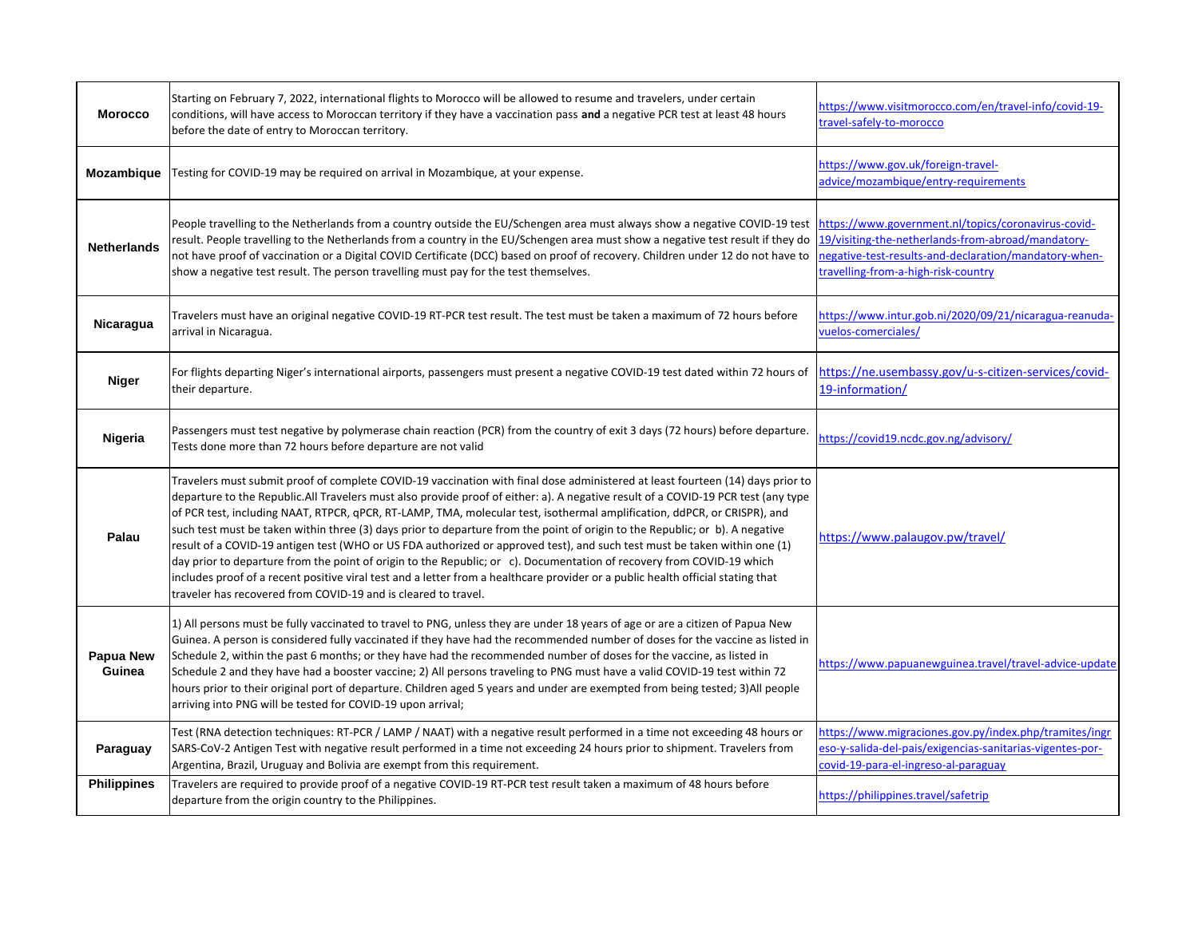| <b>Morocco</b>             | Starting on February 7, 2022, international flights to Morocco will be allowed to resume and travelers, under certain<br>conditions, will have access to Moroccan territory if they have a vaccination pass and a negative PCR test at least 48 hours<br>before the date of entry to Moroccan territory.                                                                                                                                                                                                                                                                                                                                                                                                                                                                                                                                                                                                                                                                                   | https://www.visitmorocco.com/en/travel-info/covid-19-<br>travel-safely-to-morocco                                                                                                                         |
|----------------------------|--------------------------------------------------------------------------------------------------------------------------------------------------------------------------------------------------------------------------------------------------------------------------------------------------------------------------------------------------------------------------------------------------------------------------------------------------------------------------------------------------------------------------------------------------------------------------------------------------------------------------------------------------------------------------------------------------------------------------------------------------------------------------------------------------------------------------------------------------------------------------------------------------------------------------------------------------------------------------------------------|-----------------------------------------------------------------------------------------------------------------------------------------------------------------------------------------------------------|
| Mozambique                 | Testing for COVID-19 may be required on arrival in Mozambique, at your expense.                                                                                                                                                                                                                                                                                                                                                                                                                                                                                                                                                                                                                                                                                                                                                                                                                                                                                                            | https://www.gov.uk/foreign-travel-<br>advice/mozambique/entry-requirements                                                                                                                                |
| <b>Netherlands</b>         | People travelling to the Netherlands from a country outside the EU/Schengen area must always show a negative COVID-19 test<br>result. People travelling to the Netherlands from a country in the EU/Schengen area must show a negative test result if they do<br>not have proof of vaccination or a Digital COVID Certificate (DCC) based on proof of recovery. Children under 12 do not have to<br>show a negative test result. The person travelling must pay for the test themselves.                                                                                                                                                                                                                                                                                                                                                                                                                                                                                                   | https://www.government.nl/topics/coronavirus-covid-<br>19/visiting-the-netherlands-from-abroad/mandatory-<br>negative-test-results-and-declaration/mandatory-when-<br>travelling-from-a-high-risk-country |
| Nicaragua                  | Travelers must have an original negative COVID-19 RT-PCR test result. The test must be taken a maximum of 72 hours before<br>arrival in Nicaragua.                                                                                                                                                                                                                                                                                                                                                                                                                                                                                                                                                                                                                                                                                                                                                                                                                                         | https://www.intur.gob.ni/2020/09/21/nicaragua-reanuda-<br>vuelos-comerciales/                                                                                                                             |
| <b>Niger</b>               | For flights departing Niger's international airports, passengers must present a negative COVID-19 test dated within 72 hours of<br>their departure.                                                                                                                                                                                                                                                                                                                                                                                                                                                                                                                                                                                                                                                                                                                                                                                                                                        | https://ne.usembassy.gov/u-s-citizen-services/covid-<br>19-information/                                                                                                                                   |
| Nigeria                    | Passengers must test negative by polymerase chain reaction (PCR) from the country of exit 3 days (72 hours) before departure.<br>Tests done more than 72 hours before departure are not valid                                                                                                                                                                                                                                                                                                                                                                                                                                                                                                                                                                                                                                                                                                                                                                                              | https://covid19.ncdc.gov.ng/advisory/                                                                                                                                                                     |
| Palau                      | Travelers must submit proof of complete COVID-19 vaccination with final dose administered at least fourteen (14) days prior to<br>departure to the Republic.All Travelers must also provide proof of either: a). A negative result of a COVID-19 PCR test (any type<br>of PCR test, including NAAT, RTPCR, qPCR, RT-LAMP, TMA, molecular test, isothermal amplification, ddPCR, or CRISPR), and<br>such test must be taken within three (3) days prior to departure from the point of origin to the Republic; or b). A negative<br>result of a COVID-19 antigen test (WHO or US FDA authorized or approved test), and such test must be taken within one (1)<br>day prior to departure from the point of origin to the Republic; or c). Documentation of recovery from COVID-19 which<br>includes proof of a recent positive viral test and a letter from a healthcare provider or a public health official stating that<br>traveler has recovered from COVID-19 and is cleared to travel. | https://www.palaugov.pw/travel/                                                                                                                                                                           |
| <b>Papua New</b><br>Guinea | 1) All persons must be fully vaccinated to travel to PNG, unless they are under 18 years of age or are a citizen of Papua New<br>Guinea. A person is considered fully vaccinated if they have had the recommended number of doses for the vaccine as listed in<br>Schedule 2, within the past 6 months; or they have had the recommended number of doses for the vaccine, as listed in<br>Schedule 2 and they have had a booster vaccine; 2) All persons traveling to PNG must have a valid COVID-19 test within 72<br>hours prior to their original port of departure. Children aged 5 years and under are exempted from being tested; 3)All people<br>arriving into PNG will be tested for COVID-19 upon arrival;                                                                                                                                                                                                                                                                        | https://www.papuanewguinea.travel/travel-advice-update                                                                                                                                                    |
| Paraguay                   | Test (RNA detection techniques: RT-PCR / LAMP / NAAT) with a negative result performed in a time not exceeding 48 hours or<br>SARS-CoV-2 Antigen Test with negative result performed in a time not exceeding 24 hours prior to shipment. Travelers from<br>Argentina, Brazil, Uruguay and Bolivia are exempt from this requirement.                                                                                                                                                                                                                                                                                                                                                                                                                                                                                                                                                                                                                                                        | https://www.migraciones.gov.py/index.php/tramites/ingr<br>eso-y-salida-del-pais/exigencias-sanitarias-vigentes-por-<br>covid-19-para-el-ingreso-al-paraguay                                               |
| <b>Philippines</b>         | Travelers are required to provide proof of a negative COVID-19 RT-PCR test result taken a maximum of 48 hours before<br>departure from the origin country to the Philippines.                                                                                                                                                                                                                                                                                                                                                                                                                                                                                                                                                                                                                                                                                                                                                                                                              | https://philippines.travel/safetrip                                                                                                                                                                       |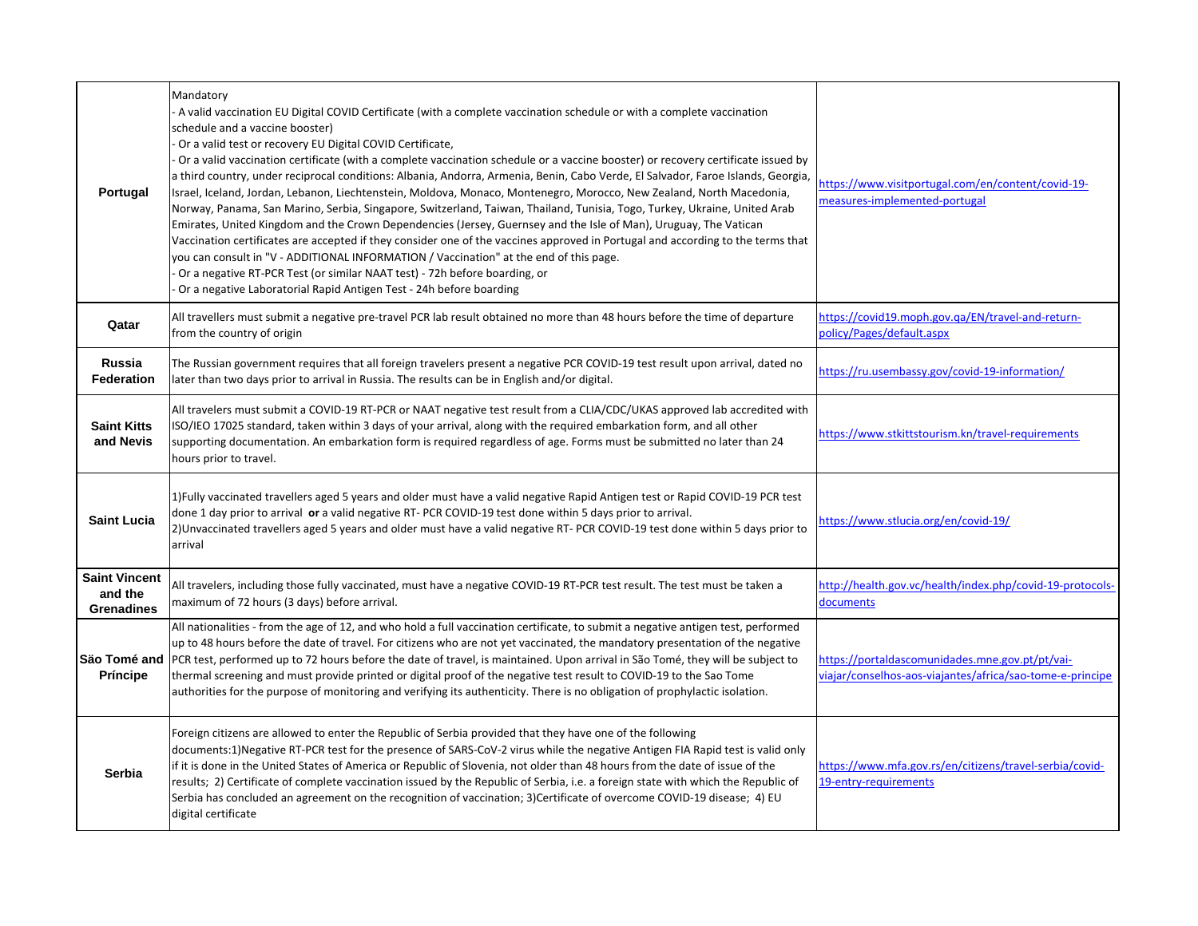| Portugal                                             | Mandatory<br>A valid vaccination EU Digital COVID Certificate (with a complete vaccination schedule or with a complete vaccination<br>schedule and a vaccine booster)<br>Or a valid test or recovery EU Digital COVID Certificate,<br>Or a valid vaccination certificate (with a complete vaccination schedule or a vaccine booster) or recovery certificate issued by<br>a third country, under reciprocal conditions: Albania, Andorra, Armenia, Benin, Cabo Verde, El Salvador, Faroe Islands, Georgia,<br>Israel, Iceland, Jordan, Lebanon, Liechtenstein, Moldova, Monaco, Montenegro, Morocco, New Zealand, North Macedonia,<br>Norway, Panama, San Marino, Serbia, Singapore, Switzerland, Taiwan, Thailand, Tunisia, Togo, Turkey, Ukraine, United Arab<br>Emirates, United Kingdom and the Crown Dependencies (Jersey, Guernsey and the Isle of Man), Uruguay, The Vatican<br>Vaccination certificates are accepted if they consider one of the vaccines approved in Portugal and according to the terms that<br>you can consult in "V - ADDITIONAL INFORMATION / Vaccination" at the end of this page.<br>Or a negative RT-PCR Test (or similar NAAT test) - 72h before boarding, or<br>Or a negative Laboratorial Rapid Antigen Test - 24h before boarding | https://www.visitportugal.com/en/content/covid-19-<br>measures-implemented-portugal                          |
|------------------------------------------------------|-----------------------------------------------------------------------------------------------------------------------------------------------------------------------------------------------------------------------------------------------------------------------------------------------------------------------------------------------------------------------------------------------------------------------------------------------------------------------------------------------------------------------------------------------------------------------------------------------------------------------------------------------------------------------------------------------------------------------------------------------------------------------------------------------------------------------------------------------------------------------------------------------------------------------------------------------------------------------------------------------------------------------------------------------------------------------------------------------------------------------------------------------------------------------------------------------------------------------------------------------------------------------|--------------------------------------------------------------------------------------------------------------|
| Qatar                                                | All travellers must submit a negative pre-travel PCR lab result obtained no more than 48 hours before the time of departure<br>from the country of origin                                                                                                                                                                                                                                                                                                                                                                                                                                                                                                                                                                                                                                                                                                                                                                                                                                                                                                                                                                                                                                                                                                             | https://covid19.moph.gov.qa/EN/travel-and-return-<br>policy/Pages/default.aspx                               |
| <b>Russia</b><br><b>Federation</b>                   | The Russian government requires that all foreign travelers present a negative PCR COVID-19 test result upon arrival, dated no<br>later than two days prior to arrival in Russia. The results can be in English and/or digital.                                                                                                                                                                                                                                                                                                                                                                                                                                                                                                                                                                                                                                                                                                                                                                                                                                                                                                                                                                                                                                        | https://ru.usembassy.gov/covid-19-information/                                                               |
| <b>Saint Kitts</b><br>and Nevis                      | All travelers must submit a COVID-19 RT-PCR or NAAT negative test result from a CLIA/CDC/UKAS approved lab accredited with<br>ISO/IEO 17025 standard, taken within 3 days of your arrival, along with the required embarkation form, and all other<br>supporting documentation. An embarkation form is required regardless of age. Forms must be submitted no later than 24<br>hours prior to travel.                                                                                                                                                                                                                                                                                                                                                                                                                                                                                                                                                                                                                                                                                                                                                                                                                                                                 | https://www.stkittstourism.kn/travel-requirements                                                            |
| <b>Saint Lucia</b>                                   | 1) Fully vaccinated travellers aged 5 years and older must have a valid negative Rapid Antigen test or Rapid COVID-19 PCR test<br>done 1 day prior to arrival or a valid negative RT- PCR COVID-19 test done within 5 days prior to arrival.<br>2) Unvaccinated travellers aged 5 years and older must have a valid negative RT-PCR COVID-19 test done within 5 days prior to<br>arrival                                                                                                                                                                                                                                                                                                                                                                                                                                                                                                                                                                                                                                                                                                                                                                                                                                                                              | https://www.stlucia.org/en/covid-19/                                                                         |
| <b>Saint Vincent</b><br>and the<br><b>Grenadines</b> | All travelers, including those fully vaccinated, must have a negative COVID-19 RT-PCR test result. The test must be taken a<br>maximum of 72 hours (3 days) before arrival.                                                                                                                                                                                                                                                                                                                                                                                                                                                                                                                                                                                                                                                                                                                                                                                                                                                                                                                                                                                                                                                                                           | http://health.gov.vc/health/index.php/covid-19-protocols-<br>documents                                       |
| Säo Tomé and<br><b>Príncipe</b>                      | All nationalities - from the age of 12, and who hold a full vaccination certificate, to submit a negative antigen test, performed<br>up to 48 hours before the date of travel. For citizens who are not yet vaccinated, the mandatory presentation of the negative<br>PCR test, performed up to 72 hours before the date of travel, is maintained. Upon arrival in São Tomé, they will be subject to<br>thermal screening and must provide printed or digital proof of the negative test result to COVID-19 to the Sao Tome<br>authorities for the purpose of monitoring and verifying its authenticity. There is no obligation of prophylactic isolation.                                                                                                                                                                                                                                                                                                                                                                                                                                                                                                                                                                                                            | https://portaldascomunidades.mne.gov.pt/pt/vai-<br>viajar/conselhos-aos-viajantes/africa/sao-tome-e-principe |
| Serbia                                               | Foreign citizens are allowed to enter the Republic of Serbia provided that they have one of the following<br>documents:1)Negative RT-PCR test for the presence of SARS-CoV-2 virus while the negative Antigen FIA Rapid test is valid only<br>If it is done in the United States of America or Republic of Slovenia, not older than 48 hours from the date of issue of the<br>results; 2) Certificate of complete vaccination issued by the Republic of Serbia, i.e. a foreign state with which the Republic of<br>Serbia has concluded an agreement on the recognition of vaccination; 3)Certificate of overcome COVID-19 disease; 4) EU<br>digital certificate                                                                                                                                                                                                                                                                                                                                                                                                                                                                                                                                                                                                      | https://www.mfa.gov.rs/en/citizens/travel-serbia/covid-<br>19-entry-requirements                             |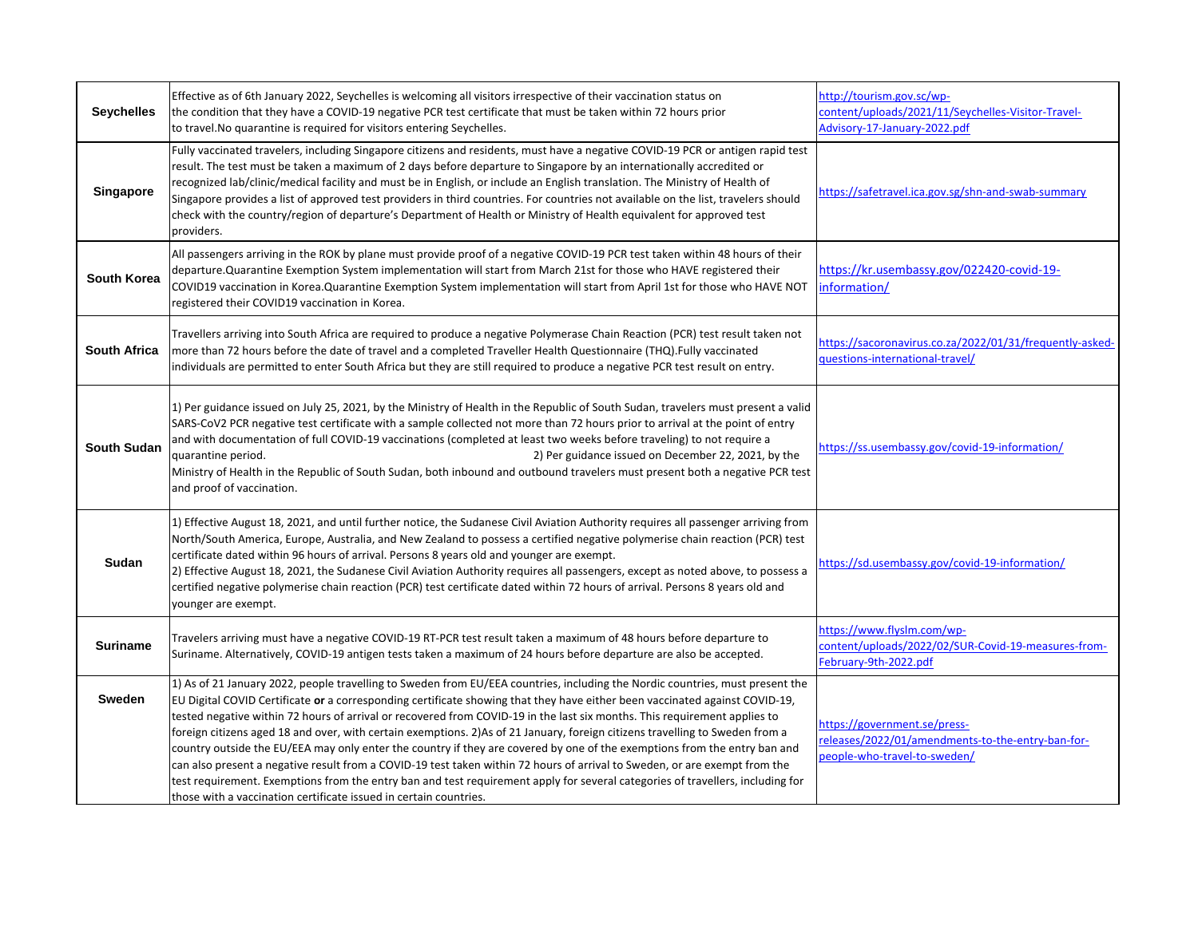| <b>Seychelles</b>   | Effective as of 6th January 2022, Seychelles is welcoming all visitors irrespective of their vaccination status on<br>the condition that they have a COVID-19 negative PCR test certificate that must be taken within 72 hours prior<br>to travel. No quarantine is required for visitors entering Seychelles.                                                                                                                                                                                                                                                                                                                                                                                                                                                                                                                                                                                                                                                                              | http://tourism.gov.sc/wp-<br>content/uploads/2021/11/Seychelles-Visitor-Travel-<br>Advisory-17-January-2022.pdf   |
|---------------------|---------------------------------------------------------------------------------------------------------------------------------------------------------------------------------------------------------------------------------------------------------------------------------------------------------------------------------------------------------------------------------------------------------------------------------------------------------------------------------------------------------------------------------------------------------------------------------------------------------------------------------------------------------------------------------------------------------------------------------------------------------------------------------------------------------------------------------------------------------------------------------------------------------------------------------------------------------------------------------------------|-------------------------------------------------------------------------------------------------------------------|
| <b>Singapore</b>    | Fully vaccinated travelers, including Singapore citizens and residents, must have a negative COVID-19 PCR or antigen rapid test<br>result. The test must be taken a maximum of 2 days before departure to Singapore by an internationally accredited or<br>recognized lab/clinic/medical facility and must be in English, or include an English translation. The Ministry of Health of<br>Singapore provides a list of approved test providers in third countries. For countries not available on the list, travelers should<br>check with the country/region of departure's Department of Health or Ministry of Health equivalent for approved test<br>providers.                                                                                                                                                                                                                                                                                                                          | https://safetravel.ica.gov.sg/shn-and-swab-summary                                                                |
| <b>South Korea</b>  | All passengers arriving in the ROK by plane must provide proof of a negative COVID-19 PCR test taken within 48 hours of their<br>departure.Quarantine Exemption System implementation will start from March 21st for those who HAVE registered their<br>COVID19 vaccination in Korea. Quarantine Exemption System implementation will start from April 1st for those who HAVE NOT<br>registered their COVID19 vaccination in Korea.                                                                                                                                                                                                                                                                                                                                                                                                                                                                                                                                                         | https://kr.usembassy.gov/022420-covid-19-<br>information/                                                         |
| <b>South Africa</b> | Travellers arriving into South Africa are required to produce a negative Polymerase Chain Reaction (PCR) test result taken not<br>more than 72 hours before the date of travel and a completed Traveller Health Questionnaire (THQ). Fully vaccinated<br>individuals are permitted to enter South Africa but they are still required to produce a negative PCR test result on entry.                                                                                                                                                                                                                                                                                                                                                                                                                                                                                                                                                                                                        | https://sacoronavirus.co.za/2022/01/31/frequently-asked-<br>questions-international-travel/                       |
| <b>South Sudan</b>  | 1) Per guidance issued on July 25, 2021, by the Ministry of Health in the Republic of South Sudan, travelers must present a valid<br>SARS-CoV2 PCR negative test certificate with a sample collected not more than 72 hours prior to arrival at the point of entry<br>and with documentation of full COVID-19 vaccinations (completed at least two weeks before traveling) to not require a<br>quarantine period.<br>2) Per guidance issued on December 22, 2021, by the<br>Ministry of Health in the Republic of South Sudan, both inbound and outbound travelers must present both a negative PCR test<br>and proof of vaccination.                                                                                                                                                                                                                                                                                                                                                       | https://ss.usembassy.gov/covid-19-information/                                                                    |
| Sudan               | 1) Effective August 18, 2021, and until further notice, the Sudanese Civil Aviation Authority requires all passenger arriving from<br>North/South America, Europe, Australia, and New Zealand to possess a certified negative polymerise chain reaction (PCR) test<br>certificate dated within 96 hours of arrival. Persons 8 years old and younger are exempt.<br>2) Effective August 18, 2021, the Sudanese Civil Aviation Authority requires all passengers, except as noted above, to possess a<br>certified negative polymerise chain reaction (PCR) test certificate dated within 72 hours of arrival. Persons 8 years old and<br>younger are exempt.                                                                                                                                                                                                                                                                                                                                 | https://sd.usembassy.gov/covid-19-information/                                                                    |
| <b>Suriname</b>     | Travelers arriving must have a negative COVID-19 RT-PCR test result taken a maximum of 48 hours before departure to<br>Suriname. Alternatively, COVID-19 antigen tests taken a maximum of 24 hours before departure are also be accepted.                                                                                                                                                                                                                                                                                                                                                                                                                                                                                                                                                                                                                                                                                                                                                   | https://www.flyslm.com/wp-<br>content/uploads/2022/02/SUR-Covid-19-measures-from-<br>February-9th-2022.pdf        |
| <b>Sweden</b>       | 1) As of 21 January 2022, people travelling to Sweden from EU/EEA countries, including the Nordic countries, must present the<br>EU Digital COVID Certificate or a corresponding certificate showing that they have either been vaccinated against COVID-19,<br>tested negative within 72 hours of arrival or recovered from COVID-19 in the last six months. This requirement applies to<br>foreign citizens aged 18 and over, with certain exemptions. 2)As of 21 January, foreign citizens travelling to Sweden from a<br>country outside the EU/EEA may only enter the country if they are covered by one of the exemptions from the entry ban and<br>can also present a negative result from a COVID-19 test taken within 72 hours of arrival to Sweden, or are exempt from the<br>test requirement. Exemptions from the entry ban and test requirement apply for several categories of travellers, including for<br>those with a vaccination certificate issued in certain countries. | https://government.se/press-<br>releases/2022/01/amendments-to-the-entry-ban-for-<br>people-who-travel-to-sweden/ |